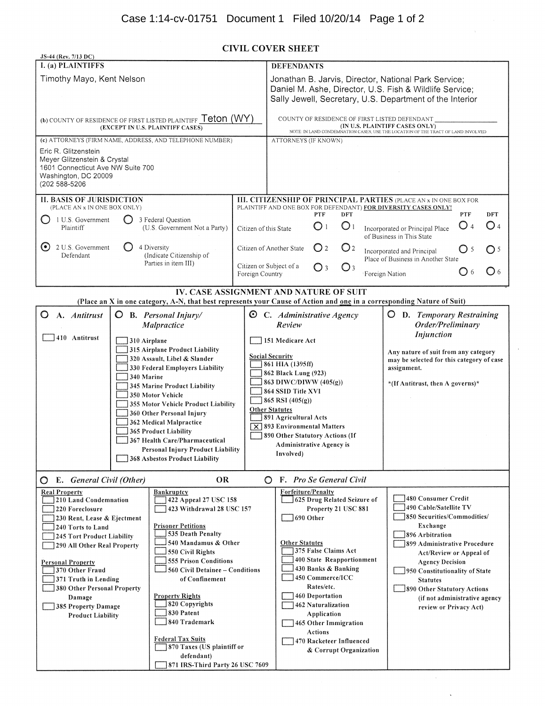# **CIVIL COVER SHEET**

| JS-44 (Rev. 7/13 DC)                                                                                                               |                                                                                                                        |                                              |                                                                                                                                                                             |                                                          |                                      |                                                                                                                                           |              |                   |
|------------------------------------------------------------------------------------------------------------------------------------|------------------------------------------------------------------------------------------------------------------------|----------------------------------------------|-----------------------------------------------------------------------------------------------------------------------------------------------------------------------------|----------------------------------------------------------|--------------------------------------|-------------------------------------------------------------------------------------------------------------------------------------------|--------------|-------------------|
| <b>I.</b> (a) PLAINTIFFS                                                                                                           |                                                                                                                        |                                              | <b>DEFENDANTS</b>                                                                                                                                                           |                                                          |                                      |                                                                                                                                           |              |                   |
| Timothy Mayo, Kent Nelson                                                                                                          |                                                                                                                        |                                              | Jonathan B. Jarvis, Director, National Park Service;<br>Daniel M. Ashe, Director, U.S. Fish & Wildlife Service;<br>Sally Jewell, Secretary, U.S. Department of the Interior |                                                          |                                      |                                                                                                                                           |              |                   |
| (b) COUNTY OF RESIDENCE OF FIRST LISTED PLAINTIFF Teton (WY)<br>(EXCEPT IN U.S. PLAINTIFF CASES)                                   |                                                                                                                        |                                              | COUNTY OF RESIDENCE OF FIRST LISTED DEFENDANT                                                                                                                               |                                                          |                                      | (IN U.S. PLAINTIFF CASES ONLY)<br>NOTE: IN LAND CONDEMNATION CASES, USE THE LOCATION OF THE TRACT OF LAND INVOLVED                        |              |                   |
| (c) ATTORNEYS (FIRM NAME, ADDRESS, AND TELEPHONE NUMBER)                                                                           |                                                                                                                        |                                              | ATTORNEYS (IF KNOWN)                                                                                                                                                        |                                                          |                                      |                                                                                                                                           |              |                   |
| Eric R. Glitzenstein<br>Meyer Glitzenstein & Crystal<br>1601 Connecticut Ave NW Suite 700<br>Washington, DC 20009<br>(202 588-5206 |                                                                                                                        |                                              |                                                                                                                                                                             |                                                          |                                      |                                                                                                                                           |              |                   |
| <b>II. BASIS OF JURISDICTION</b><br>(PLACE AN x IN ONE BOX ONLY)                                                                   |                                                                                                                        |                                              |                                                                                                                                                                             |                                                          |                                      | <b>III. CITIZENSHIP OF PRINCIPAL PARTIES (PLACE AN x IN ONE BOX FOR</b><br>PLAINTIFF AND ONE BOX FOR DEFENDANT) FOR DIVERSITY CASES ONLY! |              |                   |
| O<br>1 U.S. Government<br>Plaintiff                                                                                                | 3 Federal Question<br>(U.S. Government Not a Party)                                                                    | Citizen of this State                        | <b>PTF</b><br>$\bigcirc$ 1                                                                                                                                                  | <b>DFT</b><br>O <sub>1</sub>                             |                                      | Incorporated or Principal Place<br>of Business in This State                                                                              | PTF<br>O 4   | <b>DFT</b><br>O 4 |
| $\left( \bullet \right)$<br>2 U.S. Government<br>O<br>Defendant                                                                    | 4 Diversity<br>(Indicate Citizenship of                                                                                |                                              | $\bigcirc$ 2<br>Citizen of Another State                                                                                                                                    | O <sub>2</sub>                                           |                                      | Incorporated and Principal<br>Place of Business in Another State                                                                          | $\bigcirc$ 5 | $\bigcirc$ 5      |
|                                                                                                                                    | Parties in item III)                                                                                                   | Foreign Country                              | Citizen or Subject of a<br>O3                                                                                                                                               | $\bigcirc$ 3                                             | <b>Foreign Nation</b>                |                                                                                                                                           | C) 6         | O <sub>6</sub>    |
|                                                                                                                                    |                                                                                                                        |                                              | IV. CASE ASSIGNMENT AND NATURE OF SUIT                                                                                                                                      |                                                          |                                      |                                                                                                                                           |              |                   |
|                                                                                                                                    | (Place an X in one category, A-N, that best represents your Cause of Action and one in a corresponding Nature of Suit) |                                              |                                                                                                                                                                             |                                                          |                                      |                                                                                                                                           |              |                   |
| O<br>A. Antitrust                                                                                                                  | $O$ B. Personal Injury/<br>Malpractice                                                                                 | అ                                            | C. Administrative Agency<br>Review                                                                                                                                          |                                                          |                                      | <b>O</b> D. Temporary Restraining<br>Order/Preliminary<br>Injunction                                                                      |              |                   |
| 410 Antitrust                                                                                                                      | 310 Airplane                                                                                                           |                                              | 151 Medicare Act                                                                                                                                                            |                                                          |                                      |                                                                                                                                           |              |                   |
|                                                                                                                                    | 315 Airplane Product Liability                                                                                         |                                              | <b>Social Security</b>                                                                                                                                                      |                                                          | Any nature of suit from any category |                                                                                                                                           |              |                   |
|                                                                                                                                    | 320 Assault, Libel & Slander<br>330 Federal Employers Liability                                                        | 861 HIA (1395ff)                             |                                                                                                                                                                             | may be selected for this category of case<br>assignment. |                                      |                                                                                                                                           |              |                   |
|                                                                                                                                    | 340 Marine                                                                                                             | 862 Black Lung (923)                         |                                                                                                                                                                             |                                                          |                                      |                                                                                                                                           |              |                   |
|                                                                                                                                    | 345 Marine Product Liability                                                                                           | 863 DIWC/DIWW (405(g))<br>864 SSID Title XVI |                                                                                                                                                                             | *(If Antitrust, then A governs)*                         |                                      |                                                                                                                                           |              |                   |
|                                                                                                                                    | 350 Motor Vehicle                                                                                                      | $865$ RSI $(405(g))$                         |                                                                                                                                                                             |                                                          |                                      |                                                                                                                                           |              |                   |
|                                                                                                                                    | 355 Motor Vehicle Product Liability                                                                                    | <b>Other Statutes</b>                        |                                                                                                                                                                             |                                                          |                                      |                                                                                                                                           |              |                   |
|                                                                                                                                    | 360 Other Personal Injury<br>362 Medical Malpractice                                                                   |                                              | 891 Agricultural Acts                                                                                                                                                       |                                                          |                                      |                                                                                                                                           |              |                   |
|                                                                                                                                    | <b>365 Product Liability</b>                                                                                           |                                              | $\overline{\times}$ 893 Environmental Matters                                                                                                                               |                                                          |                                      |                                                                                                                                           |              |                   |
|                                                                                                                                    | 367 Health Care/Pharmaceutical                                                                                         |                                              | 890 Other Statutory Actions (If<br><b>Administrative Agency is</b>                                                                                                          |                                                          |                                      |                                                                                                                                           |              |                   |
|                                                                                                                                    | Personal Injury Product Liability                                                                                      |                                              | Involved)                                                                                                                                                                   |                                                          |                                      |                                                                                                                                           |              |                   |
|                                                                                                                                    | 368 Asbestos Product Liability                                                                                         |                                              |                                                                                                                                                                             |                                                          |                                      |                                                                                                                                           |              |                   |
| E. General Civil (Other)<br>O                                                                                                      | OR.                                                                                                                    |                                              | <b>O</b> F. Pro Se General Civil                                                                                                                                            |                                                          |                                      |                                                                                                                                           |              |                   |
| <b>Real Property</b>                                                                                                               | Bankruptcy                                                                                                             |                                              | Forfeiture/Penalty                                                                                                                                                          |                                                          |                                      |                                                                                                                                           |              |                   |
| 210 Land Condemnation<br>220 Foreclosure                                                                                           | 422 Appeal 27 USC 158<br>423 Withdrawal 28 USC 157                                                                     |                                              | 625 Drug Related Seizure of                                                                                                                                                 | Property 21 USC 881                                      |                                      | 480 Consumer Credit<br>490 Cable/Satellite TV                                                                                             |              |                   |
| 230 Rent, Lease & Ejectment                                                                                                        |                                                                                                                        |                                              | 690 Other                                                                                                                                                                   |                                                          |                                      | 850 Securities/Commodities/                                                                                                               |              |                   |
| 240 Torts to Land                                                                                                                  | <b>Prisoner Petitions</b>                                                                                              |                                              |                                                                                                                                                                             |                                                          |                                      | Exchange                                                                                                                                  |              |                   |
| 245 Tort Product Liability                                                                                                         | 535 Death Penalty                                                                                                      |                                              |                                                                                                                                                                             |                                                          |                                      | 896 Arbitration                                                                                                                           |              |                   |
| 290 All Other Real Property                                                                                                        | 540 Mandamus & Other<br>550 Civil Rights                                                                               |                                              | <b>Other Statutes</b><br>375 False Claims Act                                                                                                                               |                                                          |                                      | 899 Administrative Procedure<br>Act/Review or Appeal of                                                                                   |              |                   |
| <b>Personal Property</b>                                                                                                           | <b>555 Prison Conditions</b>                                                                                           |                                              | 400 State Reapportionment                                                                                                                                                   |                                                          |                                      | <b>Agency Decision</b>                                                                                                                    |              |                   |
| 370 Other Fraud                                                                                                                    | 560 Civil Detainee - Conditions                                                                                        |                                              | 430 Banks & Banking                                                                                                                                                         |                                                          |                                      | 950 Constitutionality of State                                                                                                            |              |                   |
| 371 Truth in Lending                                                                                                               | of Confinement                                                                                                         |                                              | 450 Commerce/ICC                                                                                                                                                            |                                                          |                                      | <b>Statutes</b>                                                                                                                           |              |                   |
| 380 Other Personal Property<br>Damage                                                                                              | <b>Property Rights</b>                                                                                                 |                                              | Rates/etc.<br>460 Deportation                                                                                                                                               |                                                          |                                      | 890 Other Statutory Actions                                                                                                               |              |                   |
| 820 Copyrights<br>385 Property Damage                                                                                              |                                                                                                                        |                                              | 462 Naturalization                                                                                                                                                          |                                                          |                                      | (if not administrative agency<br>review or Privacy Act)                                                                                   |              |                   |
| <b>Product Liability</b>                                                                                                           | 830 Patent                                                                                                             |                                              | Application                                                                                                                                                                 |                                                          |                                      |                                                                                                                                           |              |                   |
|                                                                                                                                    | 840 Trademark                                                                                                          |                                              | 465 Other Immigration                                                                                                                                                       |                                                          |                                      |                                                                                                                                           |              |                   |
|                                                                                                                                    | <b>Federal Tax Suits</b>                                                                                               |                                              | Actions<br>470 Racketeer Influenced                                                                                                                                         |                                                          |                                      |                                                                                                                                           |              |                   |
|                                                                                                                                    | 870 Taxes (US plaintiff or                                                                                             |                                              |                                                                                                                                                                             | & Corrupt Organization                                   |                                      |                                                                                                                                           |              |                   |
|                                                                                                                                    | defendant)                                                                                                             |                                              |                                                                                                                                                                             |                                                          |                                      |                                                                                                                                           |              |                   |
|                                                                                                                                    | 871 IRS-Third Party 26 USC 7609                                                                                        |                                              |                                                                                                                                                                             |                                                          |                                      |                                                                                                                                           |              |                   |

 $\bar{\gamma}$ 

 $\bar{\mathbf{v}}$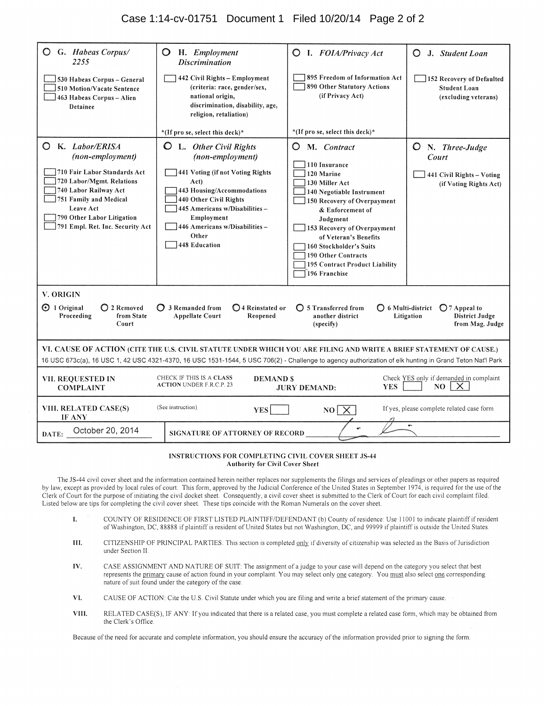| $\circ$<br>G. Habeas Corpus/<br>2255                                                                                                                                                                                              | O<br>H. Employment<br><b>Discrimination</b>                                                                                                                                                                                                                                   | <b>Q</b> I. FOIA/Privacy Act                                                                                                                                                                                                                                                                                                            | J. Student Loan<br>$\bigcirc$                                                      |
|-----------------------------------------------------------------------------------------------------------------------------------------------------------------------------------------------------------------------------------|-------------------------------------------------------------------------------------------------------------------------------------------------------------------------------------------------------------------------------------------------------------------------------|-----------------------------------------------------------------------------------------------------------------------------------------------------------------------------------------------------------------------------------------------------------------------------------------------------------------------------------------|------------------------------------------------------------------------------------|
| 530 Habeas Corpus - General<br>510 Motion/Vacate Sentence<br>463 Habeas Corpus - Alien<br>Detainee                                                                                                                                | 442 Civil Rights - Employment<br>(criteria: race, gender/sex,<br>national origin,<br>discrimination, disability, age,<br>religion, retaliation)                                                                                                                               | 895 Freedom of Information Act<br>890 Other Statutory Actions<br>(if Privacy Act)                                                                                                                                                                                                                                                       | 152 Recovery of Defaulted<br><b>Student Loan</b><br>(excluding veterans)           |
|                                                                                                                                                                                                                                   | *(If pro se, select this deck)*                                                                                                                                                                                                                                               | *(If pro se, select this deck)*                                                                                                                                                                                                                                                                                                         |                                                                                    |
| K. Labor/ERISA<br>(non-employment)<br>710 Fair Labor Standards Act<br>720 Labor/Mgmt. Relations<br>740 Labor Railway Act<br>751 Family and Medical<br>Leave Act<br>790 Other Labor Litigation<br>791 Empl. Ret. Inc. Security Act | <b>Q</b> L. Other Civil Rights<br>(non-employment)<br>441 Voting (if not Voting Rights<br>Act)<br>443 Housing/Accommodations<br>440 Other Civil Rights<br>445 Americans w/Disabilities-<br>Employment<br>446 Americans w/Disabilities -<br>Other<br>448 Education             | $\circ$<br>M. Contract<br>110 Insurance<br>120 Marine<br>130 Miller Act<br>140 Negotiable Instrument<br>150 Recovery of Overpayment<br>& Enforcement of<br>Judgment<br>153 Recovery of Overpayment<br>of Veteran's Benefits<br>160 Stockholder's Suits<br>190 Other Contracts<br><b>195 Contract Product Liability</b><br>196 Franchise | $O$ N. Three-Judge<br>Court<br>441 Civil Rights - Voting<br>(if Voting Rights Act) |
| V. ORIGIN                                                                                                                                                                                                                         |                                                                                                                                                                                                                                                                               |                                                                                                                                                                                                                                                                                                                                         |                                                                                    |
| ⊙ 1 Original<br>◯ 2 Removed<br>Proceeding<br>from State<br>Court                                                                                                                                                                  | ◯ 3 Remanded from<br>◯4 Reinstated or<br><b>Appellate Court</b><br>Reopened                                                                                                                                                                                                   | $\bigcirc$ 5 Transferred from<br>◯ 6 Multi-district<br>another district<br>(specify)                                                                                                                                                                                                                                                    | $\bigcirc$ 7 Appeal to<br><b>District Judge</b><br>Litigation<br>from Mag. Judge   |
|                                                                                                                                                                                                                                   | VI, CAUSE OF ACTION (CITE THE U.S. CIVIL STATUTE UNDER WHICH YOU ARE FILING AND WRITE A BRIEF STATEMENT OF CAUSE.)<br>16 USC 673c(a), 16 USC 1, 42 USC 4321-4370, 16 USC 1531-1544, 5 USC 706(2) - Challenge to agency authorization of elk hunting in Grand Teton Nat'l Park |                                                                                                                                                                                                                                                                                                                                         |                                                                                    |
| <b>VII. REQUESTED IN</b><br><b>COMPLAINT</b>                                                                                                                                                                                      | CHECK IF THIS IS A CLASS<br><b>DEMAND S</b><br><b>ACTION UNDER F.R.C.P. 23</b>                                                                                                                                                                                                | <b>YES</b><br><b>JURY DEMAND:</b>                                                                                                                                                                                                                                                                                                       | Check YES only if demanded in complaint<br>NO.<br>X.                               |
| VIII. RELATED CASE(S)<br>IF ANY                                                                                                                                                                                                   | (See instruction)<br><b>YES</b>                                                                                                                                                                                                                                               | NO <sub>x</sub>                                                                                                                                                                                                                                                                                                                         | If yes, please complete related case form                                          |
| October 20, 2014<br>DATE:                                                                                                                                                                                                         | SIGNATURE OF ATTORNEY OF RECORD                                                                                                                                                                                                                                               |                                                                                                                                                                                                                                                                                                                                         |                                                                                    |

#### INSTRUCTIONS FOR COMPLETING CIVIL COVER SHEET JS-44 **Authority for Civil Cover Sheet**

The JS-44 civil cover sheet and the information contained herein neither replaces nor supplements the filings and services of pleadings or other papers as required by law, except as provided by local rules of court. This form, approved by the Judicial Conference of the United States in September 1974, is required for the use of the Clerk of Court for the purpose of initiating the civil docket sheet. Consequently, a civil cover sheet is submitted to the Clerk of Court for each civil complaint filed. Listed below are tips for completing the civil cover sheet. These tips coincide with the Roman Numerals on the cover sheet.

- COUNTY OF RESIDENCE OF FIRST LISTED PLAINTIFF/DEFENDANT (b) County of residence: Use 11001 to indicate plaintiff if resident of Washington, DC, 88888 if plaintiff is resident of United States but not Washington, DC, and 99  $\mathbf{I}$
- III. CITIZENSHIP OF PRINCIPAL PARTIES: This section is completed only if diversity of citizenship was selected as the Basis of Jurisdiction under Section II.
- CASE ASSIGNMENT AND NATURE OF SUIT: The assignment of a judge to your case will depend on the category you select that best IV. represents the primary cause of action found in your complaint. You may select only one category. You must also select one corresponding nature of suit found under the category of the case.
- CAUSE OF ACTION: Cite the U.S. Civil Statute under which you are filing and write a brief statement of the primary cause. VI.
- VIII. RELATED CASE(S), IF ANY: If you indicated that there is a related case, you must complete a related case form, which may be obtained from the Clerk's Office.

Because of the need for accurate and complete information, you should ensure the accuracy of the information provided prior to signing the form.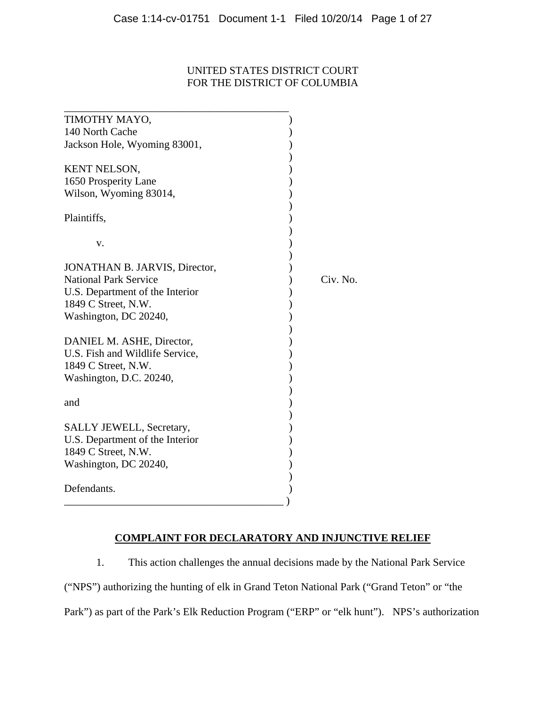## UNITED STATES DISTRICT COURT FOR THE DISTRICT OF COLUMBIA

| TIMOTHY MAYO,                   |          |
|---------------------------------|----------|
| 140 North Cache                 |          |
| Jackson Hole, Wyoming 83001,    |          |
|                                 |          |
| <b>KENT NELSON,</b>             |          |
| 1650 Prosperity Lane            |          |
| Wilson, Wyoming 83014,          |          |
|                                 |          |
| Plaintiffs,                     |          |
|                                 |          |
| v.                              |          |
|                                 |          |
| JONATHAN B. JARVIS, Director,   |          |
| <b>National Park Service</b>    | Civ. No. |
| U.S. Department of the Interior |          |
| 1849 C Street, N.W.             |          |
| Washington, DC 20240,           |          |
|                                 |          |
| DANIEL M. ASHE, Director,       |          |
| U.S. Fish and Wildlife Service, |          |
| 1849 C Street, N.W.             |          |
| Washington, D.C. 20240,         |          |
|                                 |          |
| and                             |          |
|                                 |          |
| SALLY JEWELL, Secretary,        |          |
| U.S. Department of the Interior |          |
| 1849 C Street, N.W.             |          |
| Washington, DC 20240,           |          |
|                                 |          |
| Defendants.                     |          |
|                                 |          |

## **COMPLAINT FOR DECLARATORY AND INJUNCTIVE RELIEF**

 1. This action challenges the annual decisions made by the National Park Service ("NPS") authorizing the hunting of elk in Grand Teton National Park ("Grand Teton" or "the Park") as part of the Park's Elk Reduction Program ("ERP" or "elk hunt"). NPS's authorization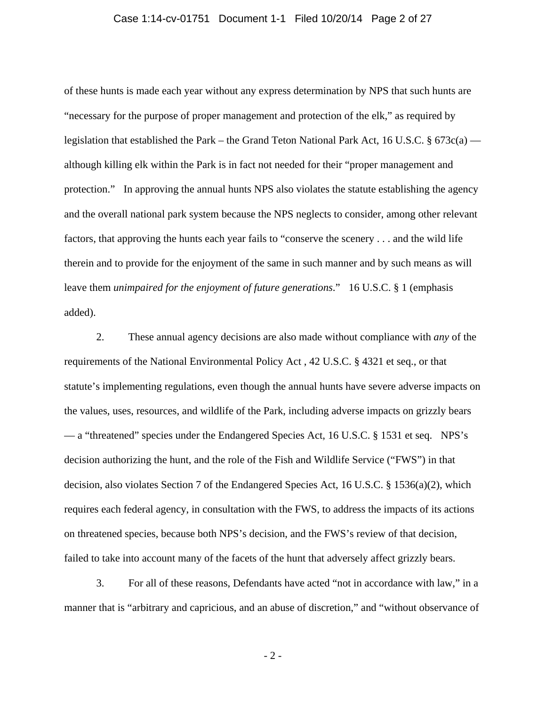#### Case 1:14-cv-01751 Document 1-1 Filed 10/20/14 Page 2 of 27

of these hunts is made each year without any express determination by NPS that such hunts are "necessary for the purpose of proper management and protection of the elk," as required by legislation that established the Park – the Grand Teton National Park Act, 16 U.S.C. § 673c(a) although killing elk within the Park is in fact not needed for their "proper management and protection." In approving the annual hunts NPS also violates the statute establishing the agency and the overall national park system because the NPS neglects to consider, among other relevant factors, that approving the hunts each year fails to "conserve the scenery . . . and the wild life therein and to provide for the enjoyment of the same in such manner and by such means as will leave them *unimpaired for the enjoyment of future generations*." 16 U.S.C. § 1 (emphasis added).

 2. These annual agency decisions are also made without compliance with *any* of the requirements of the National Environmental Policy Act , 42 U.S.C. § 4321 et seq., or that statute's implementing regulations, even though the annual hunts have severe adverse impacts on the values, uses, resources, and wildlife of the Park, including adverse impacts on grizzly bears — a "threatened" species under the Endangered Species Act, 16 U.S.C. § 1531 et seq. NPS's decision authorizing the hunt, and the role of the Fish and Wildlife Service ("FWS") in that decision, also violates Section 7 of the Endangered Species Act, 16 U.S.C. § 1536(a)(2), which requires each federal agency, in consultation with the FWS, to address the impacts of its actions on threatened species, because both NPS's decision, and the FWS's review of that decision, failed to take into account many of the facets of the hunt that adversely affect grizzly bears.

 3. For all of these reasons, Defendants have acted "not in accordance with law," in a manner that is "arbitrary and capricious, and an abuse of discretion," and "without observance of

- 2 -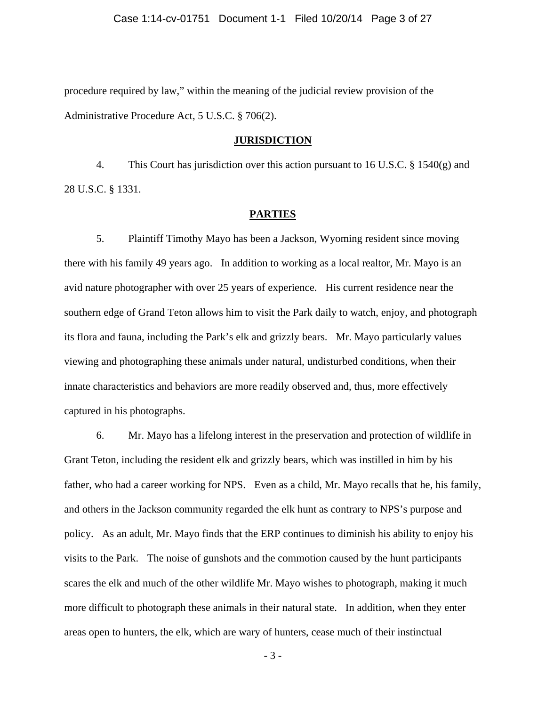procedure required by law," within the meaning of the judicial review provision of the Administrative Procedure Act, 5 U.S.C. § 706(2).

#### **JURISDICTION**

 4. This Court has jurisdiction over this action pursuant to 16 U.S.C. § 1540(g) and 28 U.S.C. § 1331.

#### **PARTIES**

 5. Plaintiff Timothy Mayo has been a Jackson, Wyoming resident since moving there with his family 49 years ago. In addition to working as a local realtor, Mr. Mayo is an avid nature photographer with over 25 years of experience. His current residence near the southern edge of Grand Teton allows him to visit the Park daily to watch, enjoy, and photograph its flora and fauna, including the Park's elk and grizzly bears. Mr. Mayo particularly values viewing and photographing these animals under natural, undisturbed conditions, when their innate characteristics and behaviors are more readily observed and, thus, more effectively captured in his photographs.

 6. Mr. Mayo has a lifelong interest in the preservation and protection of wildlife in Grant Teton, including the resident elk and grizzly bears, which was instilled in him by his father, who had a career working for NPS. Even as a child, Mr. Mayo recalls that he, his family, and others in the Jackson community regarded the elk hunt as contrary to NPS's purpose and policy. As an adult, Mr. Mayo finds that the ERP continues to diminish his ability to enjoy his visits to the Park. The noise of gunshots and the commotion caused by the hunt participants scares the elk and much of the other wildlife Mr. Mayo wishes to photograph, making it much more difficult to photograph these animals in their natural state. In addition, when they enter areas open to hunters, the elk, which are wary of hunters, cease much of their instinctual

- 3 -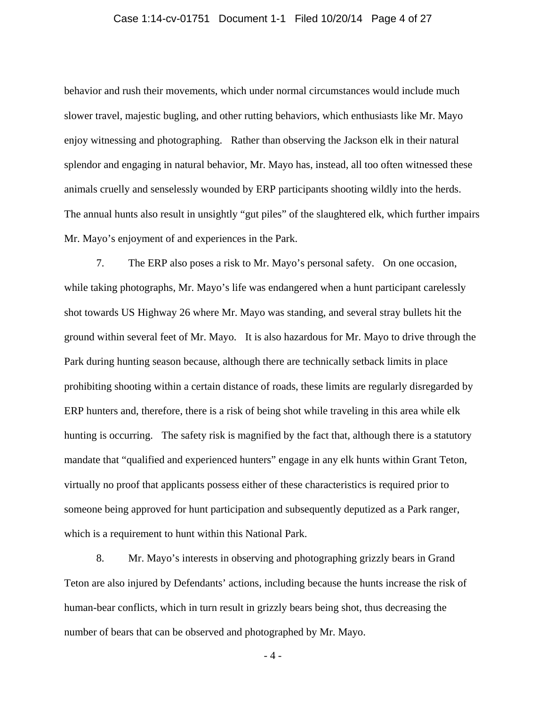#### Case 1:14-cv-01751 Document 1-1 Filed 10/20/14 Page 4 of 27

behavior and rush their movements, which under normal circumstances would include much slower travel, majestic bugling, and other rutting behaviors, which enthusiasts like Mr. Mayo enjoy witnessing and photographing. Rather than observing the Jackson elk in their natural splendor and engaging in natural behavior, Mr. Mayo has, instead, all too often witnessed these animals cruelly and senselessly wounded by ERP participants shooting wildly into the herds. The annual hunts also result in unsightly "gut piles" of the slaughtered elk, which further impairs Mr. Mayo's enjoyment of and experiences in the Park.

 7. The ERP also poses a risk to Mr. Mayo's personal safety. On one occasion, while taking photographs, Mr. Mayo's life was endangered when a hunt participant carelessly shot towards US Highway 26 where Mr. Mayo was standing, and several stray bullets hit the ground within several feet of Mr. Mayo. It is also hazardous for Mr. Mayo to drive through the Park during hunting season because, although there are technically setback limits in place prohibiting shooting within a certain distance of roads, these limits are regularly disregarded by ERP hunters and, therefore, there is a risk of being shot while traveling in this area while elk hunting is occurring. The safety risk is magnified by the fact that, although there is a statutory mandate that "qualified and experienced hunters" engage in any elk hunts within Grant Teton, virtually no proof that applicants possess either of these characteristics is required prior to someone being approved for hunt participation and subsequently deputized as a Park ranger, which is a requirement to hunt within this National Park.

 8. Mr. Mayo's interests in observing and photographing grizzly bears in Grand Teton are also injured by Defendants' actions, including because the hunts increase the risk of human-bear conflicts, which in turn result in grizzly bears being shot, thus decreasing the number of bears that can be observed and photographed by Mr. Mayo.

- 4 -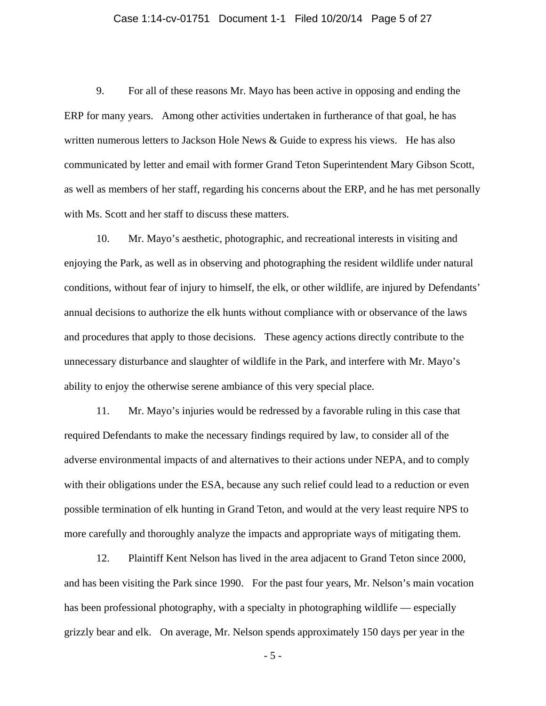#### Case 1:14-cv-01751 Document 1-1 Filed 10/20/14 Page 5 of 27

 9. For all of these reasons Mr. Mayo has been active in opposing and ending the ERP for many years. Among other activities undertaken in furtherance of that goal, he has written numerous letters to Jackson Hole News & Guide to express his views. He has also communicated by letter and email with former Grand Teton Superintendent Mary Gibson Scott, as well as members of her staff, regarding his concerns about the ERP, and he has met personally with Ms. Scott and her staff to discuss these matters.

 10. Mr. Mayo's aesthetic, photographic, and recreational interests in visiting and enjoying the Park, as well as in observing and photographing the resident wildlife under natural conditions, without fear of injury to himself, the elk, or other wildlife, are injured by Defendants' annual decisions to authorize the elk hunts without compliance with or observance of the laws and procedures that apply to those decisions. These agency actions directly contribute to the unnecessary disturbance and slaughter of wildlife in the Park, and interfere with Mr. Mayo's ability to enjoy the otherwise serene ambiance of this very special place.

 11. Mr. Mayo's injuries would be redressed by a favorable ruling in this case that required Defendants to make the necessary findings required by law, to consider all of the adverse environmental impacts of and alternatives to their actions under NEPA, and to comply with their obligations under the ESA, because any such relief could lead to a reduction or even possible termination of elk hunting in Grand Teton, and would at the very least require NPS to more carefully and thoroughly analyze the impacts and appropriate ways of mitigating them.

 12. Plaintiff Kent Nelson has lived in the area adjacent to Grand Teton since 2000, and has been visiting the Park since 1990. For the past four years, Mr. Nelson's main vocation has been professional photography, with a specialty in photographing wildlife — especially grizzly bear and elk. On average, Mr. Nelson spends approximately 150 days per year in the

- 5 -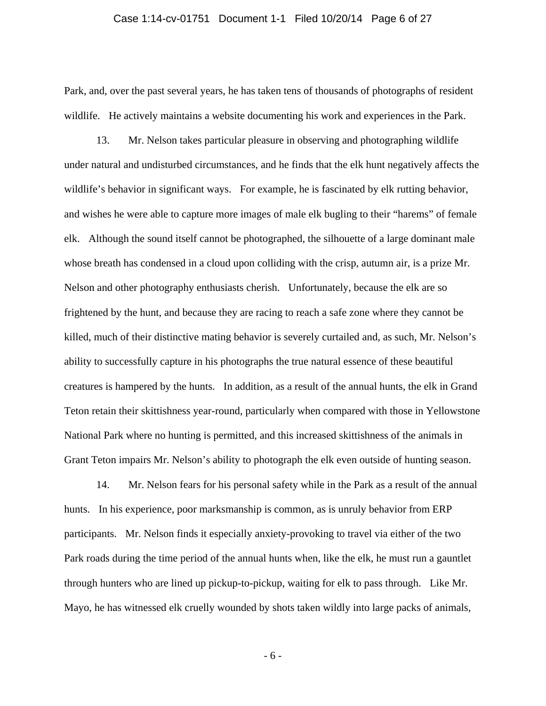#### Case 1:14-cv-01751 Document 1-1 Filed 10/20/14 Page 6 of 27

Park, and, over the past several years, he has taken tens of thousands of photographs of resident wildlife. He actively maintains a website documenting his work and experiences in the Park.

 13. Mr. Nelson takes particular pleasure in observing and photographing wildlife under natural and undisturbed circumstances, and he finds that the elk hunt negatively affects the wildlife's behavior in significant ways. For example, he is fascinated by elk rutting behavior, and wishes he were able to capture more images of male elk bugling to their "harems" of female elk. Although the sound itself cannot be photographed, the silhouette of a large dominant male whose breath has condensed in a cloud upon colliding with the crisp, autumn air, is a prize Mr. Nelson and other photography enthusiasts cherish. Unfortunately, because the elk are so frightened by the hunt, and because they are racing to reach a safe zone where they cannot be killed, much of their distinctive mating behavior is severely curtailed and, as such, Mr. Nelson's ability to successfully capture in his photographs the true natural essence of these beautiful creatures is hampered by the hunts. In addition, as a result of the annual hunts, the elk in Grand Teton retain their skittishness year-round, particularly when compared with those in Yellowstone National Park where no hunting is permitted, and this increased skittishness of the animals in Grant Teton impairs Mr. Nelson's ability to photograph the elk even outside of hunting season.

 14. Mr. Nelson fears for his personal safety while in the Park as a result of the annual hunts. In his experience, poor marksmanship is common, as is unruly behavior from ERP participants. Mr. Nelson finds it especially anxiety-provoking to travel via either of the two Park roads during the time period of the annual hunts when, like the elk, he must run a gauntlet through hunters who are lined up pickup-to-pickup, waiting for elk to pass through. Like Mr. Mayo, he has witnessed elk cruelly wounded by shots taken wildly into large packs of animals,

- 6 -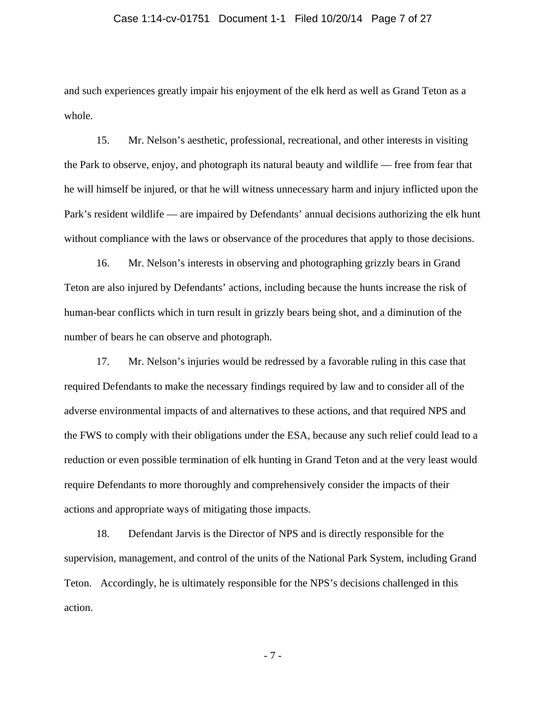#### Case 1:14-cv-01751 Document 1-1 Filed 10/20/14 Page 7 of 27

and such experiences greatly impair his enjoyment of the elk herd as well as Grand Teton as a whole.

 15. Mr. Nelson's aesthetic, professional, recreational, and other interests in visiting the Park to observe, enjoy, and photograph its natural beauty and wildlife — free from fear that he will himself be injured, or that he will witness unnecessary harm and injury inflicted upon the Park's resident wildlife — are impaired by Defendants' annual decisions authorizing the elk hunt without compliance with the laws or observance of the procedures that apply to those decisions.

 16. Mr. Nelson's interests in observing and photographing grizzly bears in Grand Teton are also injured by Defendants' actions, including because the hunts increase the risk of human-bear conflicts which in turn result in grizzly bears being shot, and a diminution of the number of bears he can observe and photograph.

 17. Mr. Nelson's injuries would be redressed by a favorable ruling in this case that required Defendants to make the necessary findings required by law and to consider all of the adverse environmental impacts of and alternatives to these actions, and that required NPS and the FWS to comply with their obligations under the ESA, because any such relief could lead to a reduction or even possible termination of elk hunting in Grand Teton and at the very least would require Defendants to more thoroughly and comprehensively consider the impacts of their actions and appropriate ways of mitigating those impacts.

18. Defendant Jarvis is the Director of NPS and is directly responsible for the supervision, management, and control of the units of the National Park System, including Grand Teton. Accordingly, he is ultimately responsible for the NPS's decisions challenged in this action.

- 7 -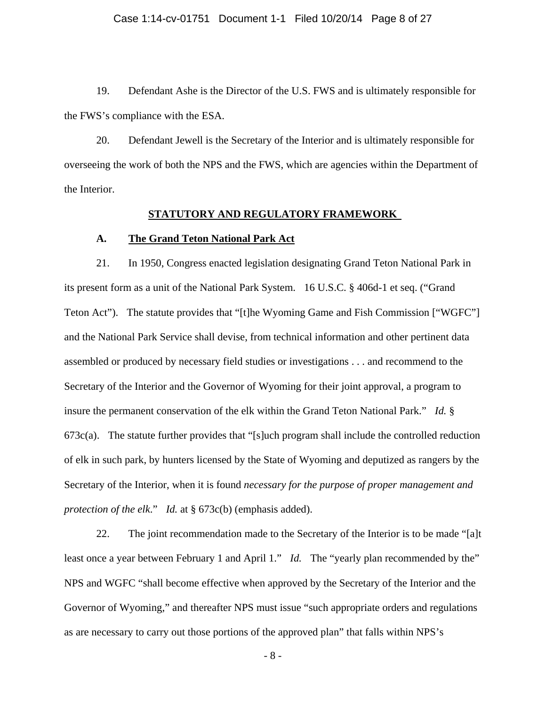19. Defendant Ashe is the Director of the U.S. FWS and is ultimately responsible for the FWS's compliance with the ESA.

20. Defendant Jewell is the Secretary of the Interior and is ultimately responsible for overseeing the work of both the NPS and the FWS, which are agencies within the Department of the Interior.

### **STATUTORY AND REGULATORY FRAMEWORK**

### **A. The Grand Teton National Park Act**

 21. In 1950, Congress enacted legislation designating Grand Teton National Park in its present form as a unit of the National Park System. 16 U.S.C. § 406d-1 et seq. ("Grand Teton Act"). The statute provides that "[t]he Wyoming Game and Fish Commission ["WGFC"] and the National Park Service shall devise, from technical information and other pertinent data assembled or produced by necessary field studies or investigations . . . and recommend to the Secretary of the Interior and the Governor of Wyoming for their joint approval, a program to insure the permanent conservation of the elk within the Grand Teton National Park." *Id.* §  $673c(a)$ . The statute further provides that "[s]uch program shall include the controlled reduction of elk in such park, by hunters licensed by the State of Wyoming and deputized as rangers by the Secretary of the Interior, when it is found *necessary for the purpose of proper management and protection of the elk*." *Id.* at § 673c(b) (emphasis added).

 22. The joint recommendation made to the Secretary of the Interior is to be made "[a]t least once a year between February 1 and April 1." *Id.* The "yearly plan recommended by the" NPS and WGFC "shall become effective when approved by the Secretary of the Interior and the Governor of Wyoming," and thereafter NPS must issue "such appropriate orders and regulations as are necessary to carry out those portions of the approved plan" that falls within NPS's

- 8 -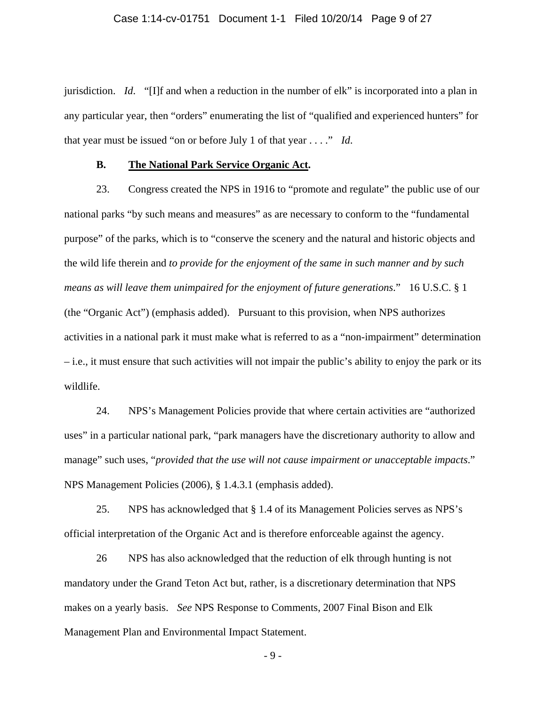### Case 1:14-cv-01751 Document 1-1 Filed 10/20/14 Page 9 of 27

jurisdiction. *Id*. "[I]f and when a reduction in the number of elk" is incorporated into a plan in any particular year, then "orders" enumerating the list of "qualified and experienced hunters" for that year must be issued "on or before July 1 of that year . . . ." *Id*.

### **B. The National Park Service Organic Act.**

 23. Congress created the NPS in 1916 to "promote and regulate" the public use of our national parks "by such means and measures" as are necessary to conform to the "fundamental purpose" of the parks, which is to "conserve the scenery and the natural and historic objects and the wild life therein and *to provide for the enjoyment of the same in such manner and by such means as will leave them unimpaired for the enjoyment of future generations*." 16 U.S.C. § 1 (the "Organic Act") (emphasis added). Pursuant to this provision, when NPS authorizes activities in a national park it must make what is referred to as a "non-impairment" determination – i.e., it must ensure that such activities will not impair the public's ability to enjoy the park or its wildlife.

 24. NPS's Management Policies provide that where certain activities are "authorized uses" in a particular national park, "park managers have the discretionary authority to allow and manage" such uses, "*provided that the use will not cause impairment or unacceptable impacts*." NPS Management Policies (2006), § 1.4.3.1 (emphasis added).

 25. NPS has acknowledged that § 1.4 of its Management Policies serves as NPS's official interpretation of the Organic Act and is therefore enforceable against the agency.

 26 NPS has also acknowledged that the reduction of elk through hunting is not mandatory under the Grand Teton Act but, rather, is a discretionary determination that NPS makes on a yearly basis. *See* NPS Response to Comments, 2007 Final Bison and Elk Management Plan and Environmental Impact Statement.

- 9 -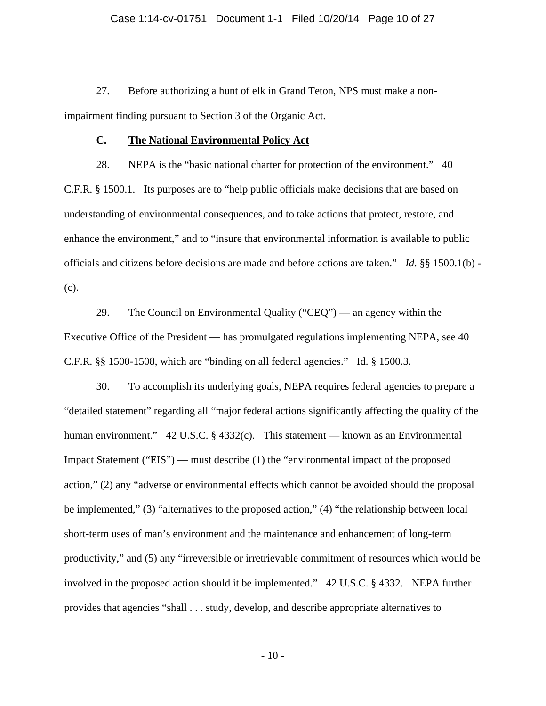27. Before authorizing a hunt of elk in Grand Teton, NPS must make a nonimpairment finding pursuant to Section 3 of the Organic Act.

## **C. The National Environmental Policy Act**

 28. NEPA is the "basic national charter for protection of the environment." 40 C.F.R. § 1500.1. Its purposes are to "help public officials make decisions that are based on understanding of environmental consequences, and to take actions that protect, restore, and enhance the environment," and to "insure that environmental information is available to public officials and citizens before decisions are made and before actions are taken." *Id*. §§ 1500.1(b) - (c).

 29. The Council on Environmental Quality ("CEQ") — an agency within the Executive Office of the President — has promulgated regulations implementing NEPA, see 40 C.F.R. §§ 1500-1508, which are "binding on all federal agencies." Id. § 1500.3.

 30. To accomplish its underlying goals, NEPA requires federal agencies to prepare a "detailed statement" regarding all "major federal actions significantly affecting the quality of the human environment." 42 U.S.C. § 4332(c). This statement — known as an Environmental Impact Statement ("EIS") — must describe (1) the "environmental impact of the proposed action," (2) any "adverse or environmental effects which cannot be avoided should the proposal be implemented," (3) "alternatives to the proposed action," (4) "the relationship between local short-term uses of man's environment and the maintenance and enhancement of long-term productivity," and (5) any "irreversible or irretrievable commitment of resources which would be involved in the proposed action should it be implemented." 42 U.S.C. § 4332. NEPA further provides that agencies "shall . . . study, develop, and describe appropriate alternatives to

- 10 -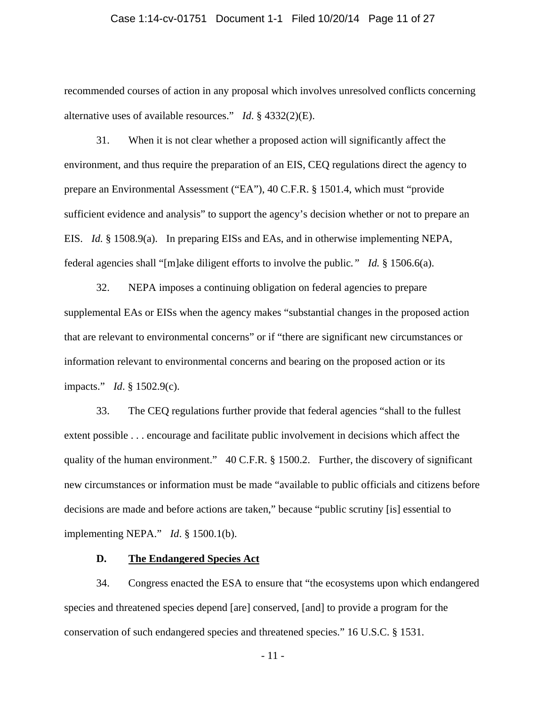### Case 1:14-cv-01751 Document 1-1 Filed 10/20/14 Page 11 of 27

recommended courses of action in any proposal which involves unresolved conflicts concerning alternative uses of available resources." *Id*. § 4332(2)(E).

 31. When it is not clear whether a proposed action will significantly affect the environment, and thus require the preparation of an EIS, CEQ regulations direct the agency to prepare an Environmental Assessment ("EA"), 40 C.F.R. § 1501.4, which must "provide sufficient evidence and analysis" to support the agency's decision whether or not to prepare an EIS. *Id.* § 1508.9(a). In preparing EISs and EAs, and in otherwise implementing NEPA, federal agencies shall "[m]ake diligent efforts to involve the public*." Id.* § 1506.6(a).

 32. NEPA imposes a continuing obligation on federal agencies to prepare supplemental EAs or EISs when the agency makes "substantial changes in the proposed action that are relevant to environmental concerns" or if "there are significant new circumstances or information relevant to environmental concerns and bearing on the proposed action or its impacts." *Id*. § 1502.9(c).

 33. The CEQ regulations further provide that federal agencies "shall to the fullest extent possible . . . encourage and facilitate public involvement in decisions which affect the quality of the human environment." 40 C.F.R. § 1500.2. Further, the discovery of significant new circumstances or information must be made "available to public officials and citizens before decisions are made and before actions are taken," because "public scrutiny [is] essential to implementing NEPA." *Id*. § 1500.1(b).

## **D. The Endangered Species Act**

 34. Congress enacted the ESA to ensure that "the ecosystems upon which endangered species and threatened species depend [are] conserved, [and] to provide a program for the conservation of such endangered species and threatened species." 16 U.S.C. § 1531.

- 11 -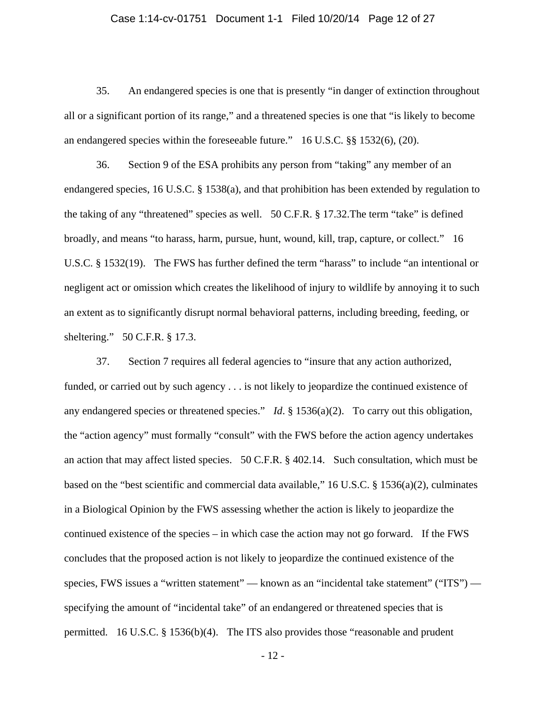#### Case 1:14-cv-01751 Document 1-1 Filed 10/20/14 Page 12 of 27

 35. An endangered species is one that is presently "in danger of extinction throughout all or a significant portion of its range," and a threatened species is one that "is likely to become an endangered species within the foreseeable future." 16 U.S.C. §§ 1532(6), (20).

 36. Section 9 of the ESA prohibits any person from "taking" any member of an endangered species, 16 U.S.C. § 1538(a), and that prohibition has been extended by regulation to the taking of any "threatened" species as well. 50 C.F.R. § 17.32.The term "take" is defined broadly, and means "to harass, harm, pursue, hunt, wound, kill, trap, capture, or collect." 16 U.S.C. § 1532(19). The FWS has further defined the term "harass" to include "an intentional or negligent act or omission which creates the likelihood of injury to wildlife by annoying it to such an extent as to significantly disrupt normal behavioral patterns, including breeding, feeding, or sheltering." 50 C.F.R. § 17.3.

 37. Section 7 requires all federal agencies to "insure that any action authorized, funded, or carried out by such agency . . . is not likely to jeopardize the continued existence of any endangered species or threatened species." *Id*. § 1536(a)(2). To carry out this obligation, the "action agency" must formally "consult" with the FWS before the action agency undertakes an action that may affect listed species. 50 C.F.R. § 402.14. Such consultation, which must be based on the "best scientific and commercial data available," 16 U.S.C. § 1536(a)(2), culminates in a Biological Opinion by the FWS assessing whether the action is likely to jeopardize the continued existence of the species – in which case the action may not go forward. If the FWS concludes that the proposed action is not likely to jeopardize the continued existence of the species, FWS issues a "written statement" — known as an "incidental take statement" ("ITS") specifying the amount of "incidental take" of an endangered or threatened species that is permitted. 16 U.S.C. § 1536(b)(4). The ITS also provides those "reasonable and prudent

- 12 -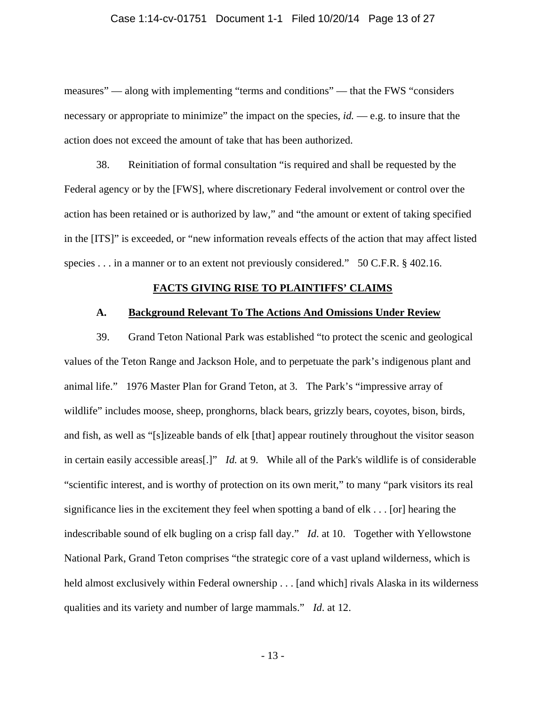#### Case 1:14-cv-01751 Document 1-1 Filed 10/20/14 Page 13 of 27

measures" — along with implementing "terms and conditions" — that the FWS "considers necessary or appropriate to minimize" the impact on the species, *id.* — e.g. to insure that the action does not exceed the amount of take that has been authorized.

 38. Reinitiation of formal consultation "is required and shall be requested by the Federal agency or by the [FWS], where discretionary Federal involvement or control over the action has been retained or is authorized by law," and "the amount or extent of taking specified in the [ITS]" is exceeded, or "new information reveals effects of the action that may affect listed species . . . in a manner or to an extent not previously considered." 50 C.F.R. § 402.16.

#### **FACTS GIVING RISE TO PLAINTIFFS' CLAIMS**

#### **A. Background Relevant To The Actions And Omissions Under Review**

 39. Grand Teton National Park was established "to protect the scenic and geological values of the Teton Range and Jackson Hole, and to perpetuate the park's indigenous plant and animal life." 1976 Master Plan for Grand Teton, at 3. The Park's "impressive array of wildlife" includes moose, sheep, pronghorns, black bears, grizzly bears, coyotes, bison, birds, and fish, as well as "[s]izeable bands of elk [that] appear routinely throughout the visitor season in certain easily accessible areas[.]" *Id.* at 9. While all of the Park's wildlife is of considerable "scientific interest, and is worthy of protection on its own merit," to many "park visitors its real significance lies in the excitement they feel when spotting a band of elk . . . [or] hearing the indescribable sound of elk bugling on a crisp fall day." *Id*. at 10. Together with Yellowstone National Park, Grand Teton comprises "the strategic core of a vast upland wilderness, which is held almost exclusively within Federal ownership . . . [and which] rivals Alaska in its wilderness qualities and its variety and number of large mammals." *Id*. at 12.

- 13 -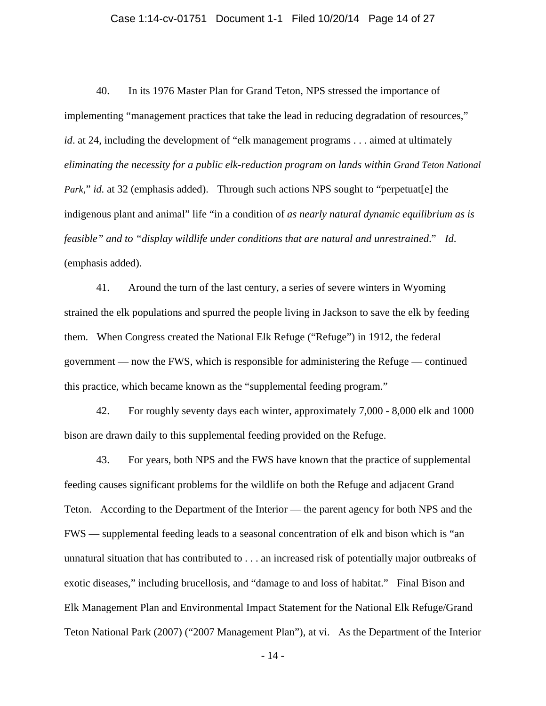#### Case 1:14-cv-01751 Document 1-1 Filed 10/20/14 Page 14 of 27

 40. In its 1976 Master Plan for Grand Teton, NPS stressed the importance of implementing "management practices that take the lead in reducing degradation of resources," *id*. at 24, including the development of "elk management programs . . . aimed at ultimately *eliminating the necessity for a public elk-reduction program on lands within Grand Teton National Park*," *id.* at 32 (emphasis added). Through such actions NPS sought to "perpetuat [e] the indigenous plant and animal" life "in a condition of *as nearly natural dynamic equilibrium as is feasible" and to "display wildlife under conditions that are natural and unrestrained*." *Id*. (emphasis added).

 41. Around the turn of the last century, a series of severe winters in Wyoming strained the elk populations and spurred the people living in Jackson to save the elk by feeding them. When Congress created the National Elk Refuge ("Refuge") in 1912, the federal government — now the FWS, which is responsible for administering the Refuge — continued this practice, which became known as the "supplemental feeding program."

 42. For roughly seventy days each winter, approximately 7,000 - 8,000 elk and 1000 bison are drawn daily to this supplemental feeding provided on the Refuge.

 43. For years, both NPS and the FWS have known that the practice of supplemental feeding causes significant problems for the wildlife on both the Refuge and adjacent Grand Teton. According to the Department of the Interior — the parent agency for both NPS and the FWS — supplemental feeding leads to a seasonal concentration of elk and bison which is "an unnatural situation that has contributed to . . . an increased risk of potentially major outbreaks of exotic diseases," including brucellosis, and "damage to and loss of habitat." Final Bison and Elk Management Plan and Environmental Impact Statement for the National Elk Refuge/Grand Teton National Park (2007) ("2007 Management Plan"), at vi. As the Department of the Interior

- 14 -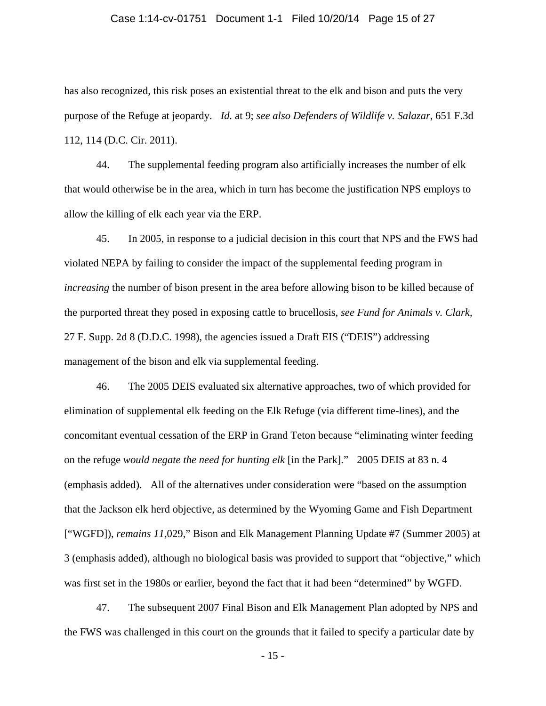### Case 1:14-cv-01751 Document 1-1 Filed 10/20/14 Page 15 of 27

has also recognized, this risk poses an existential threat to the elk and bison and puts the very purpose of the Refuge at jeopardy. *Id.* at 9; *see also Defenders of Wildlife v. Salazar*, 651 F.3d 112, 114 (D.C. Cir. 2011).

 44. The supplemental feeding program also artificially increases the number of elk that would otherwise be in the area, which in turn has become the justification NPS employs to allow the killing of elk each year via the ERP.

 45. In 2005, in response to a judicial decision in this court that NPS and the FWS had violated NEPA by failing to consider the impact of the supplemental feeding program in *increasing* the number of bison present in the area before allowing bison to be killed because of the purported threat they posed in exposing cattle to brucellosis, *see Fund for Animals v. Clark*, 27 F. Supp. 2d 8 (D.D.C. 1998), the agencies issued a Draft EIS ("DEIS") addressing management of the bison and elk via supplemental feeding.

 46. The 2005 DEIS evaluated six alternative approaches, two of which provided for elimination of supplemental elk feeding on the Elk Refuge (via different time-lines), and the concomitant eventual cessation of the ERP in Grand Teton because "eliminating winter feeding on the refuge *would negate the need for hunting elk* [in the Park]." 2005 DEIS at 83 n. 4 (emphasis added). All of the alternatives under consideration were "based on the assumption that the Jackson elk herd objective, as determined by the Wyoming Game and Fish Department ["WGFD]), *remains 11,*029," Bison and Elk Management Planning Update #7 (Summer 2005) at 3 (emphasis added), although no biological basis was provided to support that "objective," which was first set in the 1980s or earlier, beyond the fact that it had been "determined" by WGFD.

 47. The subsequent 2007 Final Bison and Elk Management Plan adopted by NPS and the FWS was challenged in this court on the grounds that it failed to specify a particular date by

- 15 -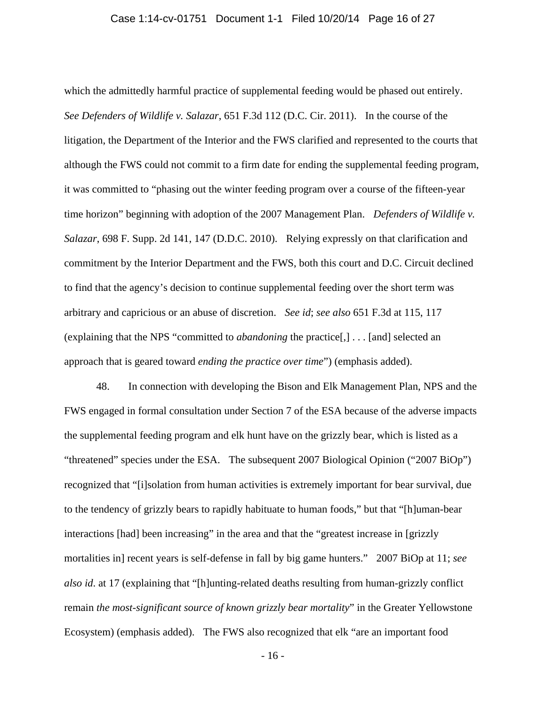#### Case 1:14-cv-01751 Document 1-1 Filed 10/20/14 Page 16 of 27

which the admittedly harmful practice of supplemental feeding would be phased out entirely. *See Defenders of Wildlife v. Salazar*, 651 F.3d 112 (D.C. Cir. 2011). In the course of the litigation, the Department of the Interior and the FWS clarified and represented to the courts that although the FWS could not commit to a firm date for ending the supplemental feeding program, it was committed to "phasing out the winter feeding program over a course of the fifteen-year time horizon" beginning with adoption of the 2007 Management Plan. *Defenders of Wildlife v. Salazar*, 698 F. Supp. 2d 141, 147 (D.D.C. 2010). Relying expressly on that clarification and commitment by the Interior Department and the FWS, both this court and D.C. Circuit declined to find that the agency's decision to continue supplemental feeding over the short term was arbitrary and capricious or an abuse of discretion. *See id*; *see also* 651 F.3d at 115, 117 (explaining that the NPS "committed to *abandoning* the practice[,] . . . [and] selected an approach that is geared toward *ending the practice over time*") (emphasis added).

 48. In connection with developing the Bison and Elk Management Plan, NPS and the FWS engaged in formal consultation under Section 7 of the ESA because of the adverse impacts the supplemental feeding program and elk hunt have on the grizzly bear, which is listed as a "threatened" species under the ESA. The subsequent 2007 Biological Opinion ("2007 BiOp") recognized that "[i]solation from human activities is extremely important for bear survival, due to the tendency of grizzly bears to rapidly habituate to human foods," but that "[h]uman-bear interactions [had] been increasing" in the area and that the "greatest increase in [grizzly mortalities in] recent years is self-defense in fall by big game hunters." 2007 BiOp at 11; *see also id*. at 17 (explaining that "[h]unting-related deaths resulting from human-grizzly conflict remain *the most-significant source of known grizzly bear mortality*" in the Greater Yellowstone Ecosystem) (emphasis added). The FWS also recognized that elk "are an important food

- 16 -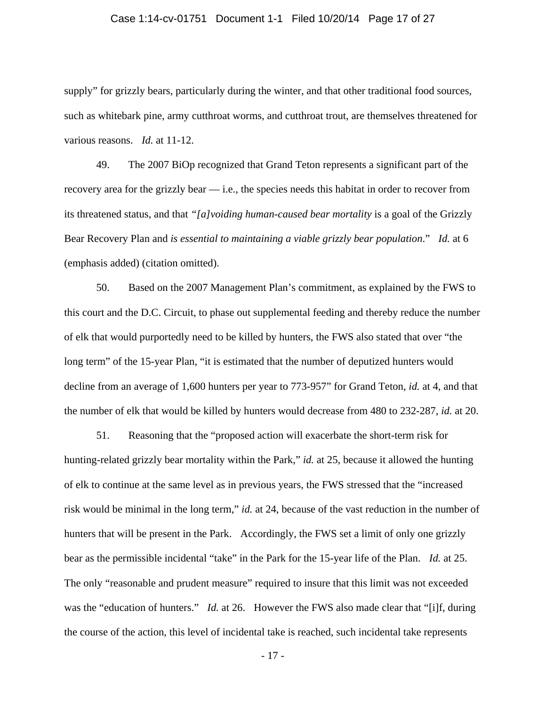#### Case 1:14-cv-01751 Document 1-1 Filed 10/20/14 Page 17 of 27

supply" for grizzly bears, particularly during the winter, and that other traditional food sources, such as whitebark pine, army cutthroat worms, and cutthroat trout, are themselves threatened for various reasons. *Id.* at 11-12.

 49. The 2007 BiOp recognized that Grand Teton represents a significant part of the recovery area for the grizzly bear — i.e., the species needs this habitat in order to recover from its threatened status, and that *"[a]voiding human-caused bear mortality* is a goal of the Grizzly Bear Recovery Plan and *is essential to maintaining a viable grizzly bear population*." *Id.* at 6 (emphasis added) (citation omitted).

 50. Based on the 2007 Management Plan's commitment, as explained by the FWS to this court and the D.C. Circuit, to phase out supplemental feeding and thereby reduce the number of elk that would purportedly need to be killed by hunters, the FWS also stated that over "the long term" of the 15-year Plan, "it is estimated that the number of deputized hunters would decline from an average of 1,600 hunters per year to 773-957" for Grand Teton, *id.* at 4, and that the number of elk that would be killed by hunters would decrease from 480 to 232-287, *id.* at 20.

51. Reasoning that the "proposed action will exacerbate the short-term risk for hunting-related grizzly bear mortality within the Park," *id.* at 25, because it allowed the hunting of elk to continue at the same level as in previous years, the FWS stressed that the "increased risk would be minimal in the long term," *id.* at 24, because of the vast reduction in the number of hunters that will be present in the Park. Accordingly, the FWS set a limit of only one grizzly bear as the permissible incidental "take" in the Park for the 15-year life of the Plan. *Id.* at 25. The only "reasonable and prudent measure" required to insure that this limit was not exceeded was the "education of hunters." *Id.* at 26. However the FWS also made clear that "[i]f, during the course of the action, this level of incidental take is reached, such incidental take represents

- 17 -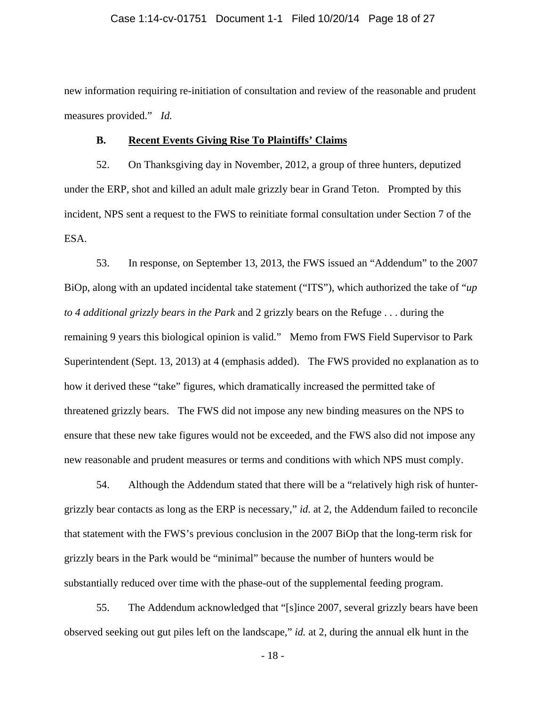#### Case 1:14-cv-01751 Document 1-1 Filed 10/20/14 Page 18 of 27

new information requiring re-initiation of consultation and review of the reasonable and prudent measures provided." *Id.*

#### **B. Recent Events Giving Rise To Plaintiffs' Claims**

 52. On Thanksgiving day in November, 2012, a group of three hunters, deputized under the ERP, shot and killed an adult male grizzly bear in Grand Teton. Prompted by this incident, NPS sent a request to the FWS to reinitiate formal consultation under Section 7 of the ESA.

 53. In response, on September 13, 2013, the FWS issued an "Addendum" to the 2007 BiOp, along with an updated incidental take statement ("ITS"), which authorized the take of "*up to 4 additional grizzly bears in the Park* and 2 grizzly bears on the Refuge . . . during the remaining 9 years this biological opinion is valid." Memo from FWS Field Supervisor to Park Superintendent (Sept. 13, 2013) at 4 (emphasis added). The FWS provided no explanation as to how it derived these "take" figures, which dramatically increased the permitted take of threatened grizzly bears. The FWS did not impose any new binding measures on the NPS to ensure that these new take figures would not be exceeded, and the FWS also did not impose any new reasonable and prudent measures or terms and conditions with which NPS must comply.

 54. Although the Addendum stated that there will be a "relatively high risk of huntergrizzly bear contacts as long as the ERP is necessary," *id.* at 2, the Addendum failed to reconcile that statement with the FWS's previous conclusion in the 2007 BiOp that the long-term risk for grizzly bears in the Park would be "minimal" because the number of hunters would be substantially reduced over time with the phase-out of the supplemental feeding program.

 55. The Addendum acknowledged that "[s]ince 2007, several grizzly bears have been observed seeking out gut piles left on the landscape," *id.* at 2, during the annual elk hunt in the

- 18 -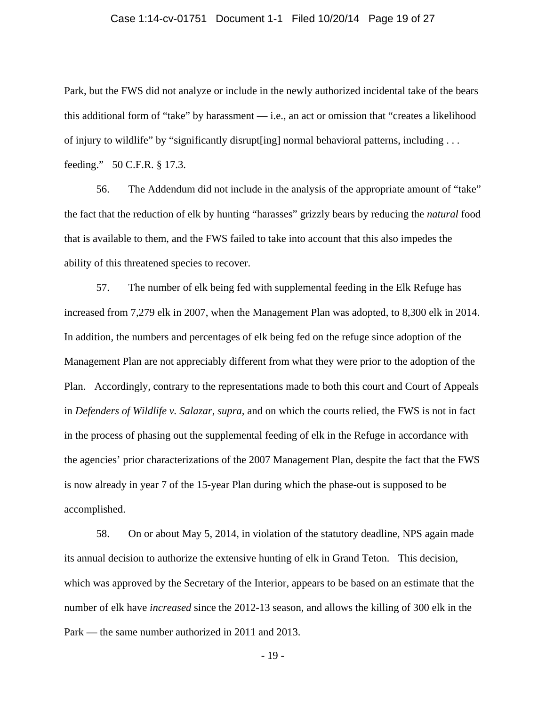### Case 1:14-cv-01751 Document 1-1 Filed 10/20/14 Page 19 of 27

Park, but the FWS did not analyze or include in the newly authorized incidental take of the bears this additional form of "take" by harassment — i.e., an act or omission that "creates a likelihood of injury to wildlife" by "significantly disrupt[ing] normal behavioral patterns, including . . . feeding." 50 C.F.R. § 17.3.

 56. The Addendum did not include in the analysis of the appropriate amount of "take" the fact that the reduction of elk by hunting "harasses" grizzly bears by reducing the *natural* food that is available to them, and the FWS failed to take into account that this also impedes the ability of this threatened species to recover.

 57. The number of elk being fed with supplemental feeding in the Elk Refuge has increased from 7,279 elk in 2007, when the Management Plan was adopted, to 8,300 elk in 2014. In addition, the numbers and percentages of elk being fed on the refuge since adoption of the Management Plan are not appreciably different from what they were prior to the adoption of the Plan. Accordingly, contrary to the representations made to both this court and Court of Appeals in *Defenders of Wildlife v. Salazar*, *supra,* and on which the courts relied, the FWS is not in fact in the process of phasing out the supplemental feeding of elk in the Refuge in accordance with the agencies' prior characterizations of the 2007 Management Plan, despite the fact that the FWS is now already in year 7 of the 15-year Plan during which the phase-out is supposed to be accomplished.

 58. On or about May 5, 2014, in violation of the statutory deadline, NPS again made its annual decision to authorize the extensive hunting of elk in Grand Teton. This decision, which was approved by the Secretary of the Interior, appears to be based on an estimate that the number of elk have *increased* since the 2012-13 season, and allows the killing of 300 elk in the Park — the same number authorized in 2011 and 2013.

- 19 -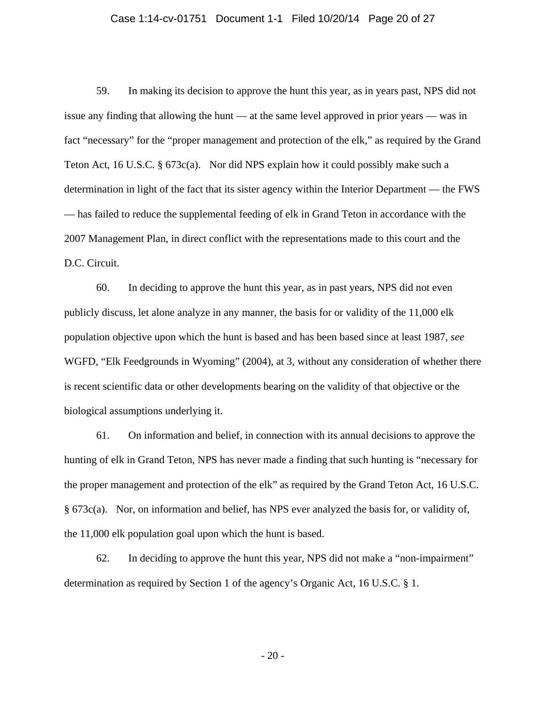#### Case 1:14-cv-01751 Document 1-1 Filed 10/20/14 Page 20 of 27

 59. In making its decision to approve the hunt this year, as in years past, NPS did not issue any finding that allowing the hunt — at the same level approved in prior years — was in fact "necessary" for the "proper management and protection of the elk," as required by the Grand Teton Act, 16 U.S.C. § 673c(a). Nor did NPS explain how it could possibly make such a determination in light of the fact that its sister agency within the Interior Department — the FWS — has failed to reduce the supplemental feeding of elk in Grand Teton in accordance with the 2007 Management Plan, in direct conflict with the representations made to this court and the D.C. Circuit.

 60. In deciding to approve the hunt this year, as in past years, NPS did not even publicly discuss, let alone analyze in any manner, the basis for or validity of the 11,000 elk population objective upon which the hunt is based and has been based since at least 1987, *see*  WGFD, "Elk Feedgrounds in Wyoming" (2004), at 3, without any consideration of whether there is recent scientific data or other developments bearing on the validity of that objective or the biological assumptions underlying it.

 61. On information and belief, in connection with its annual decisions to approve the hunting of elk in Grand Teton, NPS has never made a finding that such hunting is "necessary for the proper management and protection of the elk" as required by the Grand Teton Act, 16 U.S.C. § 673c(a). Nor, on information and belief, has NPS ever analyzed the basis for, or validity of, the 11,000 elk population goal upon which the hunt is based.

 62. In deciding to approve the hunt this year, NPS did not make a "non-impairment" determination as required by Section 1 of the agency's Organic Act, 16 U.S.C. § 1.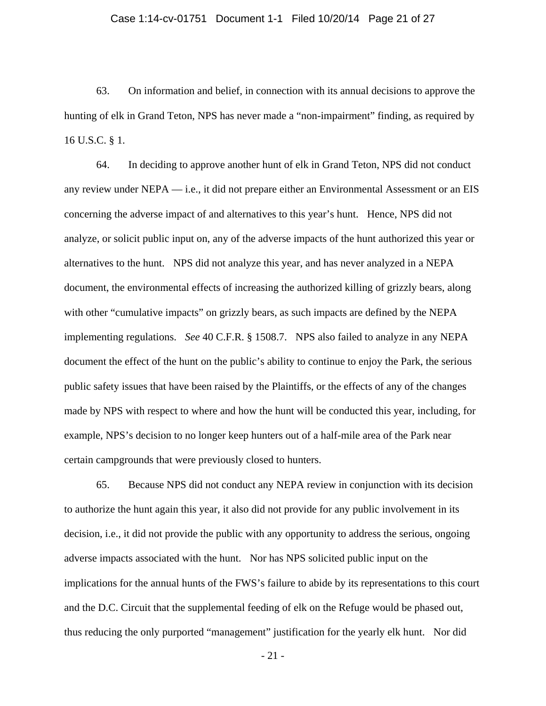### Case 1:14-cv-01751 Document 1-1 Filed 10/20/14 Page 21 of 27

 63. On information and belief, in connection with its annual decisions to approve the hunting of elk in Grand Teton, NPS has never made a "non-impairment" finding, as required by 16 U.S.C. § 1.

 64. In deciding to approve another hunt of elk in Grand Teton, NPS did not conduct any review under NEPA — i.e., it did not prepare either an Environmental Assessment or an EIS concerning the adverse impact of and alternatives to this year's hunt. Hence, NPS did not analyze, or solicit public input on, any of the adverse impacts of the hunt authorized this year or alternatives to the hunt. NPS did not analyze this year, and has never analyzed in a NEPA document, the environmental effects of increasing the authorized killing of grizzly bears, along with other "cumulative impacts" on grizzly bears, as such impacts are defined by the NEPA implementing regulations. *See* 40 C.F.R. § 1508.7. NPS also failed to analyze in any NEPA document the effect of the hunt on the public's ability to continue to enjoy the Park, the serious public safety issues that have been raised by the Plaintiffs, or the effects of any of the changes made by NPS with respect to where and how the hunt will be conducted this year, including, for example, NPS's decision to no longer keep hunters out of a half-mile area of the Park near certain campgrounds that were previously closed to hunters.

 65. Because NPS did not conduct any NEPA review in conjunction with its decision to authorize the hunt again this year, it also did not provide for any public involvement in its decision, i.e., it did not provide the public with any opportunity to address the serious, ongoing adverse impacts associated with the hunt. Nor has NPS solicited public input on the implications for the annual hunts of the FWS's failure to abide by its representations to this court and the D.C. Circuit that the supplemental feeding of elk on the Refuge would be phased out, thus reducing the only purported "management" justification for the yearly elk hunt. Nor did

- 21 -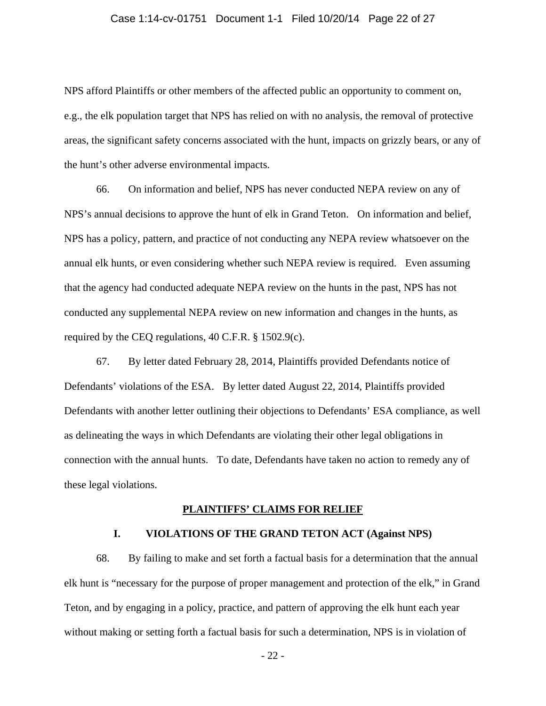#### Case 1:14-cv-01751 Document 1-1 Filed 10/20/14 Page 22 of 27

NPS afford Plaintiffs or other members of the affected public an opportunity to comment on, e.g., the elk population target that NPS has relied on with no analysis, the removal of protective areas, the significant safety concerns associated with the hunt, impacts on grizzly bears, or any of the hunt's other adverse environmental impacts.

 66. On information and belief, NPS has never conducted NEPA review on any of NPS's annual decisions to approve the hunt of elk in Grand Teton. On information and belief, NPS has a policy, pattern, and practice of not conducting any NEPA review whatsoever on the annual elk hunts, or even considering whether such NEPA review is required. Even assuming that the agency had conducted adequate NEPA review on the hunts in the past, NPS has not conducted any supplemental NEPA review on new information and changes in the hunts, as required by the CEQ regulations, 40 C.F.R. § 1502.9(c).

 67. By letter dated February 28, 2014, Plaintiffs provided Defendants notice of Defendants' violations of the ESA. By letter dated August 22, 2014, Plaintiffs provided Defendants with another letter outlining their objections to Defendants' ESA compliance, as well as delineating the ways in which Defendants are violating their other legal obligations in connection with the annual hunts. To date, Defendants have taken no action to remedy any of these legal violations.

### **PLAINTIFFS' CLAIMS FOR RELIEF**

### **I. VIOLATIONS OF THE GRAND TETON ACT (Against NPS)**

 68. By failing to make and set forth a factual basis for a determination that the annual elk hunt is "necessary for the purpose of proper management and protection of the elk," in Grand Teton, and by engaging in a policy, practice, and pattern of approving the elk hunt each year without making or setting forth a factual basis for such a determination, NPS is in violation of

- 22 -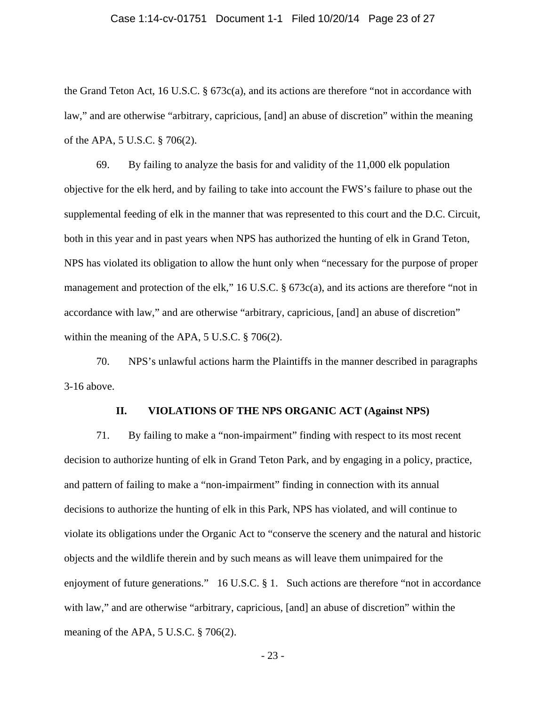#### Case 1:14-cv-01751 Document 1-1 Filed 10/20/14 Page 23 of 27

the Grand Teton Act, 16 U.S.C. § 673c(a), and its actions are therefore "not in accordance with law," and are otherwise "arbitrary, capricious, [and] an abuse of discretion" within the meaning of the APA, 5 U.S.C. § 706(2).

 69. By failing to analyze the basis for and validity of the 11,000 elk population objective for the elk herd, and by failing to take into account the FWS's failure to phase out the supplemental feeding of elk in the manner that was represented to this court and the D.C. Circuit, both in this year and in past years when NPS has authorized the hunting of elk in Grand Teton, NPS has violated its obligation to allow the hunt only when "necessary for the purpose of proper management and protection of the elk," 16 U.S.C. § 673c(a), and its actions are therefore "not in accordance with law," and are otherwise "arbitrary, capricious, [and] an abuse of discretion" within the meaning of the APA, 5 U.S.C. § 706(2).

 70. NPS's unlawful actions harm the Plaintiffs in the manner described in paragraphs 3-16 above.

#### **II. VIOLATIONS OF THE NPS ORGANIC ACT (Against NPS)**

 71. By failing to make a "non-impairment" finding with respect to its most recent decision to authorize hunting of elk in Grand Teton Park, and by engaging in a policy, practice, and pattern of failing to make a "non-impairment" finding in connection with its annual decisions to authorize the hunting of elk in this Park, NPS has violated, and will continue to violate its obligations under the Organic Act to "conserve the scenery and the natural and historic objects and the wildlife therein and by such means as will leave them unimpaired for the enjoyment of future generations." 16 U.S.C. § 1. Such actions are therefore "not in accordance with law," and are otherwise "arbitrary, capricious, [and] an abuse of discretion" within the meaning of the APA, 5 U.S.C. § 706(2).

- 23 -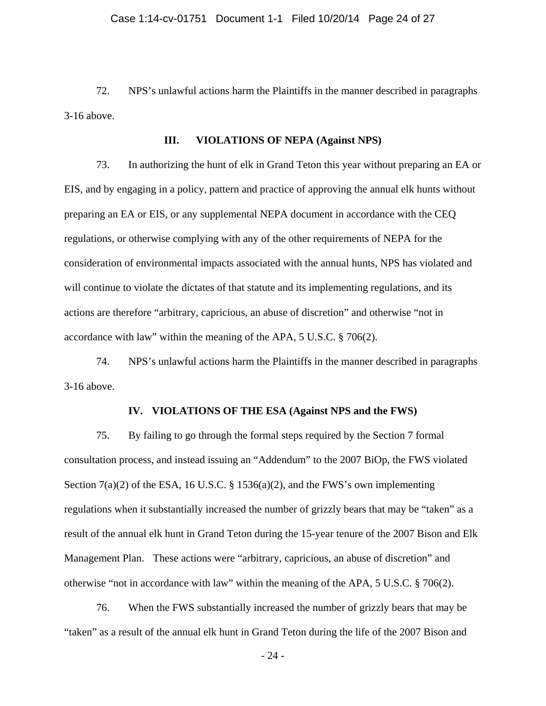72. NPS's unlawful actions harm the Plaintiffs in the manner described in paragraphs 3-16 above.

### **III. VIOLATIONS OF NEPA (Against NPS)**

 73. In authorizing the hunt of elk in Grand Teton this year without preparing an EA or EIS, and by engaging in a policy, pattern and practice of approving the annual elk hunts without preparing an EA or EIS, or any supplemental NEPA document in accordance with the CEQ regulations, or otherwise complying with any of the other requirements of NEPA for the consideration of environmental impacts associated with the annual hunts, NPS has violated and will continue to violate the dictates of that statute and its implementing regulations, and its actions are therefore "arbitrary, capricious, an abuse of discretion" and otherwise "not in accordance with law" within the meaning of the APA, 5 U.S.C. § 706(2).

 74. NPS's unlawful actions harm the Plaintiffs in the manner described in paragraphs 3-16 above.

#### **IV. VIOLATIONS OF THE ESA (Against NPS and the FWS)**

 75. By failing to go through the formal steps required by the Section 7 formal consultation process, and instead issuing an "Addendum" to the 2007 BiOp, the FWS violated Section  $7(a)(2)$  of the ESA, 16 U.S.C. § 1536(a)(2), and the FWS's own implementing regulations when it substantially increased the number of grizzly bears that may be "taken" as a result of the annual elk hunt in Grand Teton during the 15-year tenure of the 2007 Bison and Elk Management Plan. These actions were "arbitrary, capricious, an abuse of discretion" and otherwise "not in accordance with law" within the meaning of the APA, 5 U.S.C. § 706(2).

 76. When the FWS substantially increased the number of grizzly bears that may be "taken" as a result of the annual elk hunt in Grand Teton during the life of the 2007 Bison and

- 24 -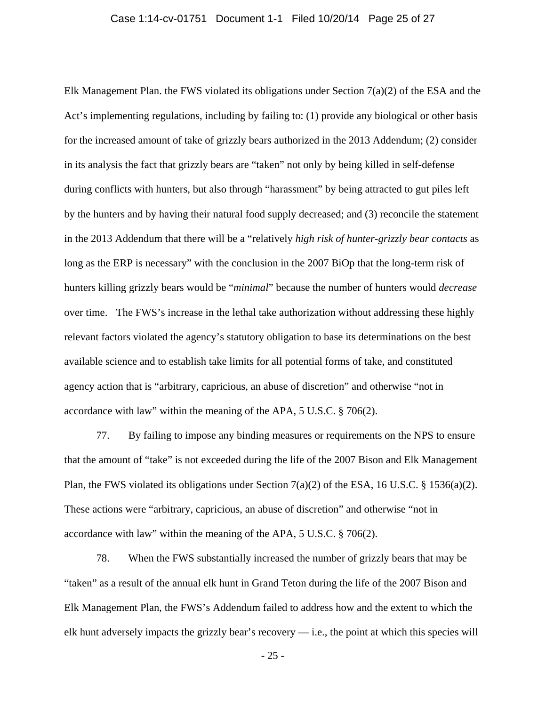Elk Management Plan. the FWS violated its obligations under Section 7(a)(2) of the ESA and the Act's implementing regulations, including by failing to: (1) provide any biological or other basis for the increased amount of take of grizzly bears authorized in the 2013 Addendum; (2) consider in its analysis the fact that grizzly bears are "taken" not only by being killed in self-defense during conflicts with hunters, but also through "harassment" by being attracted to gut piles left by the hunters and by having their natural food supply decreased; and (3) reconcile the statement in the 2013 Addendum that there will be a "relatively *high risk of hunter-grizzly bear contacts* as long as the ERP is necessary" with the conclusion in the 2007 BiOp that the long-term risk of hunters killing grizzly bears would be "*minimal*" because the number of hunters would *decrease* over time. The FWS's increase in the lethal take authorization without addressing these highly relevant factors violated the agency's statutory obligation to base its determinations on the best available science and to establish take limits for all potential forms of take, and constituted agency action that is "arbitrary, capricious, an abuse of discretion" and otherwise "not in accordance with law" within the meaning of the APA, 5 U.S.C. § 706(2).

 77. By failing to impose any binding measures or requirements on the NPS to ensure that the amount of "take" is not exceeded during the life of the 2007 Bison and Elk Management Plan, the FWS violated its obligations under Section 7(a)(2) of the ESA, 16 U.S.C. § 1536(a)(2). These actions were "arbitrary, capricious, an abuse of discretion" and otherwise "not in accordance with law" within the meaning of the APA, 5 U.S.C. § 706(2).

 78. When the FWS substantially increased the number of grizzly bears that may be "taken" as a result of the annual elk hunt in Grand Teton during the life of the 2007 Bison and Elk Management Plan, the FWS's Addendum failed to address how and the extent to which the elk hunt adversely impacts the grizzly bear's recovery — i.e., the point at which this species will

- 25 -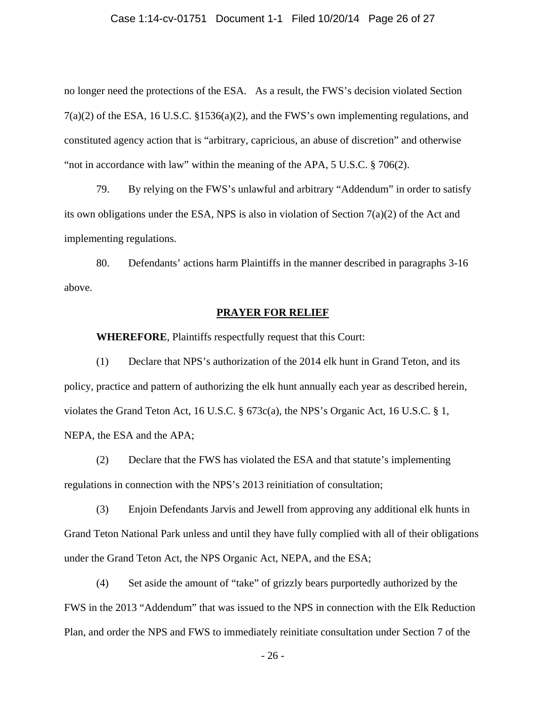### Case 1:14-cv-01751 Document 1-1 Filed 10/20/14 Page 26 of 27

no longer need the protections of the ESA. As a result, the FWS's decision violated Section 7(a)(2) of the ESA, 16 U.S.C. §1536(a)(2), and the FWS's own implementing regulations, and constituted agency action that is "arbitrary, capricious, an abuse of discretion" and otherwise "not in accordance with law" within the meaning of the APA, 5 U.S.C. § 706(2).

 79. By relying on the FWS's unlawful and arbitrary "Addendum" in order to satisfy its own obligations under the ESA, NPS is also in violation of Section  $7(a)(2)$  of the Act and implementing regulations.

 80. Defendants' actions harm Plaintiffs in the manner described in paragraphs 3-16 above.

## **PRAYER FOR RELIEF**

**WHEREFORE**, Plaintiffs respectfully request that this Court:

 (1) Declare that NPS's authorization of the 2014 elk hunt in Grand Teton, and its policy, practice and pattern of authorizing the elk hunt annually each year as described herein, violates the Grand Teton Act, 16 U.S.C. § 673c(a), the NPS's Organic Act, 16 U.S.C. § 1, NEPA, the ESA and the APA;

 (2) Declare that the FWS has violated the ESA and that statute's implementing regulations in connection with the NPS's 2013 reinitiation of consultation;

 (3) Enjoin Defendants Jarvis and Jewell from approving any additional elk hunts in Grand Teton National Park unless and until they have fully complied with all of their obligations under the Grand Teton Act, the NPS Organic Act, NEPA, and the ESA;

 (4) Set aside the amount of "take" of grizzly bears purportedly authorized by the FWS in the 2013 "Addendum" that was issued to the NPS in connection with the Elk Reduction Plan, and order the NPS and FWS to immediately reinitiate consultation under Section 7 of the

- 26 -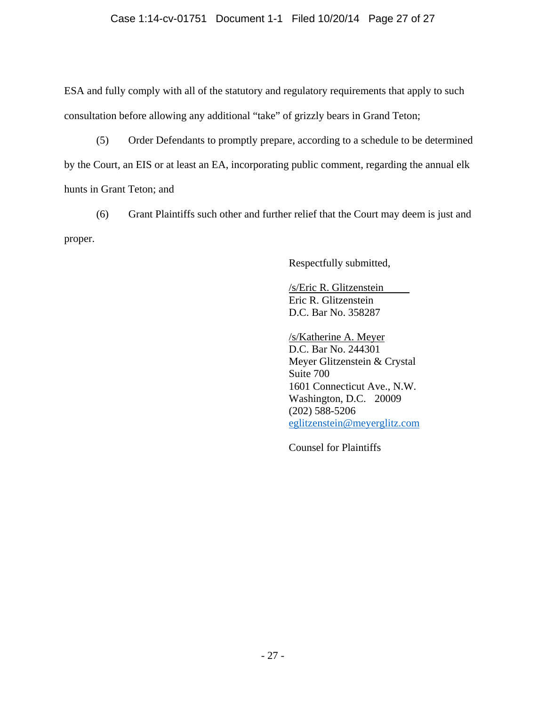ESA and fully comply with all of the statutory and regulatory requirements that apply to such consultation before allowing any additional "take" of grizzly bears in Grand Teton;

 (5) Order Defendants to promptly prepare, according to a schedule to be determined by the Court, an EIS or at least an EA, incorporating public comment, regarding the annual elk hunts in Grant Teton; and

 (6) Grant Plaintiffs such other and further relief that the Court may deem is just and proper.

Respectfully submitted,

 /s/Eric R. Glitzenstein Eric R. Glitzenstein D.C. Bar No. 358287

 /s/Katherine A. Meyer D.C. Bar No. 244301 Meyer Glitzenstein & Crystal Suite 700 1601 Connecticut Ave., N.W. Washington, D.C. 20009 (202) 588-5206 eglitzenstein@meyerglitz.com

Counsel for Plaintiffs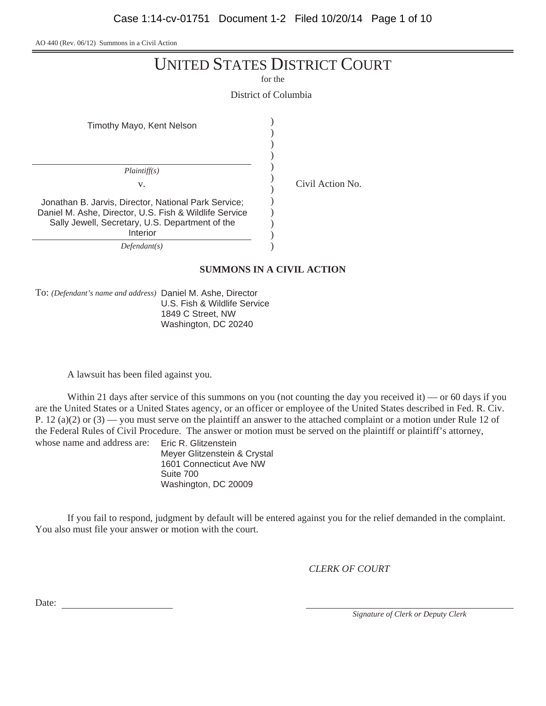AO 440 (Rev. 06/12) Summons in a Civil Action

| <b>UNITED STATES DISTRICT COURT</b> |
|-------------------------------------|
|-------------------------------------|

for the

District of Columbia

| Timothy Mayo, Kent Nelson                                                                                                                                                     |  |
|-------------------------------------------------------------------------------------------------------------------------------------------------------------------------------|--|
| Plaintiff(s)<br>V.                                                                                                                                                            |  |
| Jonathan B. Jarvis, Director, National Park Service;<br>Daniel M. Ashe, Director, U.S. Fish & Wildlife Service<br>Sally Jewell, Secretary, U.S. Department of the<br>Interior |  |
| Defendant(s)                                                                                                                                                                  |  |

## **SUMMONS IN A CIVIL ACTION**

Civil Action No.

To: *(Defendant's name and address)* Daniel M. Ashe, Director U.S. Fish & Wildlife Service 1849 C Street, NW Washington, DC 20240

A lawsuit has been filed against you.

Within 21 days after service of this summons on you (not counting the day you received it) — or 60 days if you are the United States or a United States agency, or an officer or employee of the United States described in Fed. R. Civ. P. 12 (a)(2) or  $(3)$  — you must serve on the plaintiff an answer to the attached complaint or a motion under Rule 12 of the Federal Rules of Civil Procedure. The answer or motion must be served on the plaintiff or plaintiff's attorney, whose name and address are: Eric R. Glitzenstein

Meyer Glitzenstein & Crystal 1601 Connecticut Ave NW Suite 700 Washington, DC 20009

If you fail to respond, judgment by default will be entered against you for the relief demanded in the complaint. You also must file your answer or motion with the court.

*CLERK OF COURT*

Date:

*Signature of Clerk or Deputy Clerk*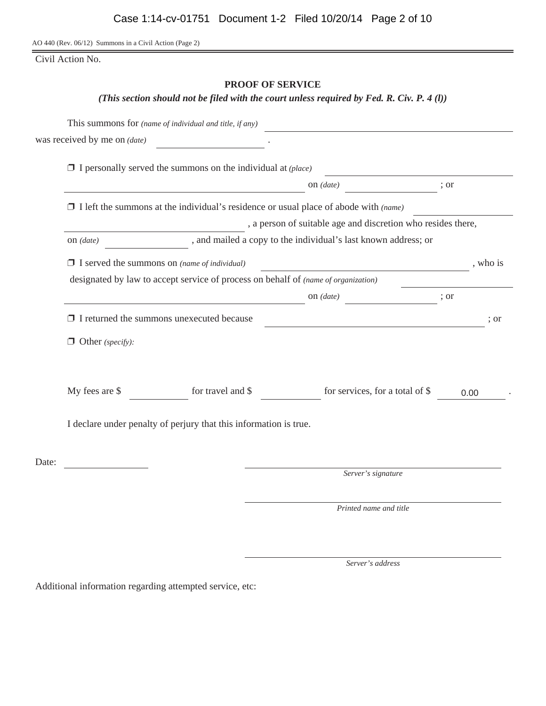AO 440 (Rev. 06/12) Summons in a Civil Action (Page 2)

Civil Action No.

## **PROOF OF SERVICE**

*(This section should not be filed with the court unless required by Fed. R. Civ. P. 4 (l))*

|       |                                                     | This summons for (name of individual and title, if any)                                     |                                                                                                                      |      |          |
|-------|-----------------------------------------------------|---------------------------------------------------------------------------------------------|----------------------------------------------------------------------------------------------------------------------|------|----------|
|       | was received by me on <i>(date)</i>                 | <u> 1989 - Jan Barat, prima po</u>                                                          |                                                                                                                      |      |          |
|       |                                                     | $\Box$ I personally served the summons on the individual at (place)                         |                                                                                                                      |      |          |
|       |                                                     |                                                                                             | on $(data)$                                                                                                          | ; or |          |
|       |                                                     | $\Box$ I left the summons at the individual's residence or usual place of abode with (name) |                                                                                                                      |      |          |
|       |                                                     |                                                                                             | , a person of suitable age and discretion who resides there,                                                         |      |          |
|       | on $(data)$                                         |                                                                                             | , and mailed a copy to the individual's last known address; or                                                       |      |          |
|       | $\Box$ I served the summons on (name of individual) |                                                                                             | <u> 1980 - Johann Barn, amerikan besteman besteman besteman besteman besteman besteman besteman besteman bestema</u> |      | , who is |
|       |                                                     | designated by law to accept service of process on behalf of <i>(name of organization)</i>   |                                                                                                                      |      |          |
|       |                                                     |                                                                                             | on $(data)$                                                                                                          | ; or |          |
|       | $\Box$ I returned the summons unexecuted because    |                                                                                             |                                                                                                                      |      | : or     |
|       | $\Box$ Other (specify):                             |                                                                                             |                                                                                                                      |      |          |
|       | My fees are \$                                      | for travel and $\$                                                                          | for services, for a total of \$                                                                                      | 0.00 |          |
|       |                                                     | I declare under penalty of perjury that this information is true.                           |                                                                                                                      |      |          |
| Date: |                                                     |                                                                                             |                                                                                                                      |      |          |
|       |                                                     |                                                                                             | Server's signature                                                                                                   |      |          |
|       |                                                     |                                                                                             | Printed name and title                                                                                               |      |          |
|       |                                                     |                                                                                             |                                                                                                                      |      |          |

*Server's address*

Additional information regarding attempted service, etc: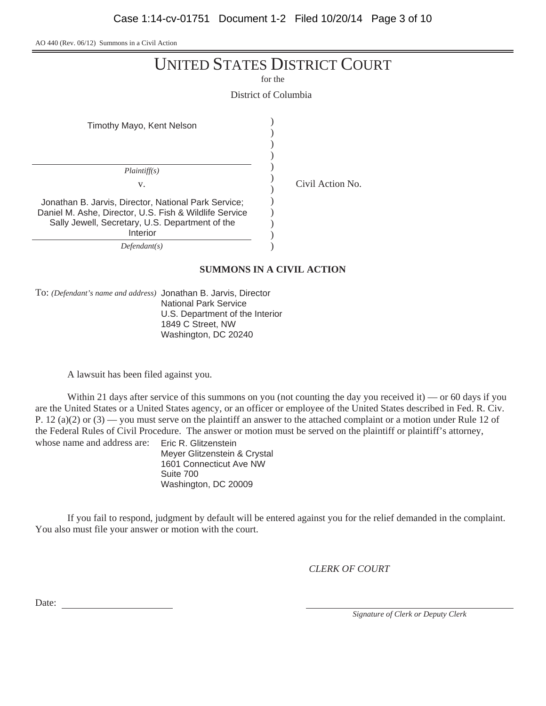AO 440 (Rev. 06/12) Summons in a Civil Action

for the

District of Columbia

| Timothy Mayo, Kent Nelson                                                                                                                                         |  |
|-------------------------------------------------------------------------------------------------------------------------------------------------------------------|--|
| Plaintiff(s)<br>V.                                                                                                                                                |  |
| Jonathan B. Jarvis, Director, National Park Service;<br>Daniel M. Ashe, Director, U.S. Fish & Wildlife Service<br>Sally Jewell, Secretary, U.S. Department of the |  |
| Interior<br>Defendant(s)                                                                                                                                          |  |

*Defendant(s)*

### **SUMMONS IN A CIVIL ACTION**

Civil Action No.

To: *(Defendant's name and address)* Jonathan B. Jarvis, Director National Park Service U.S. Department of the Interior 1849 C Street, NW Washington, DC 20240

A lawsuit has been filed against you.

Within 21 days after service of this summons on you (not counting the day you received it) — or 60 days if you are the United States or a United States agency, or an officer or employee of the United States described in Fed. R. Civ. P. 12 (a)(2) or  $(3)$  — you must serve on the plaintiff an answer to the attached complaint or a motion under Rule 12 of the Federal Rules of Civil Procedure. The answer or motion must be served on the plaintiff or plaintiff's attorney, whose name and address are: Eric R. Glitzenstein

Meyer Glitzenstein & Crystal 1601 Connecticut Ave NW Suite 700 Washington, DC 20009

If you fail to respond, judgment by default will be entered against you for the relief demanded in the complaint. You also must file your answer or motion with the court.

*CLERK OF COURT*

Date:

*Signature of Clerk or Deputy Clerk*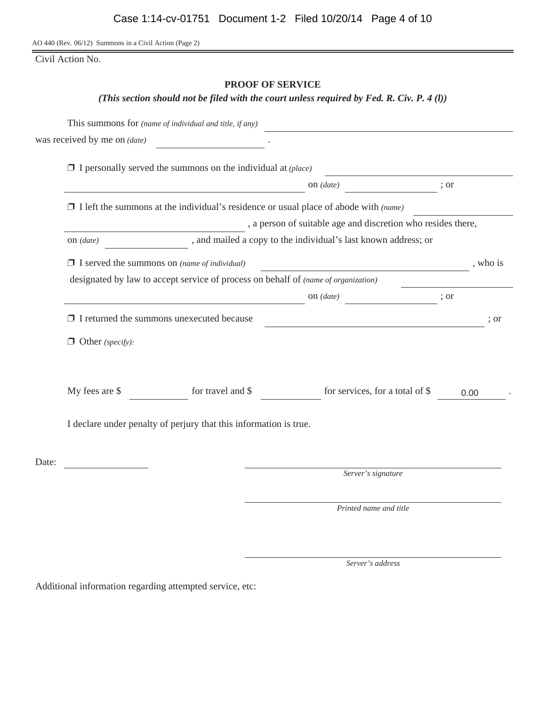AO 440 (Rev. 06/12) Summons in a Civil Action (Page 2)

Civil Action No.

## **PROOF OF SERVICE**

*(This section should not be filed with the court unless required by Fed. R. Civ. P. 4 (l))*

|       |                                                     | This summons for (name of individual and title, if any)                            |                                                                                             |      |          |
|-------|-----------------------------------------------------|------------------------------------------------------------------------------------|---------------------------------------------------------------------------------------------|------|----------|
|       | was received by me on <i>(date)</i>                 |                                                                                    |                                                                                             |      |          |
|       |                                                     | $\Box$ I personally served the summons on the individual at (place)                |                                                                                             |      |          |
|       |                                                     |                                                                                    | on $(data)$                                                                                 | ; or |          |
|       |                                                     |                                                                                    | $\Box$ I left the summons at the individual's residence or usual place of abode with (name) |      |          |
|       |                                                     |                                                                                    | , a person of suitable age and discretion who resides there,                                |      |          |
|       | on $(data)$                                         |                                                                                    | , and mailed a copy to the individual's last known address; or                              |      |          |
|       | $\Box$ I served the summons on (name of individual) |                                                                                    |                                                                                             |      | , who is |
|       |                                                     | designated by law to accept service of process on behalf of (name of organization) |                                                                                             |      |          |
|       |                                                     |                                                                                    | on $(data)$                                                                                 | ; or |          |
|       | $\Box$ I returned the summons unexecuted because    |                                                                                    | <u> 1980 - Johann Barbara, martin amerikan basal da</u>                                     |      | ; or     |
|       | $\Box$ Other (specify):                             |                                                                                    |                                                                                             |      |          |
|       | My fees are \$                                      | for travel and \$                                                                  | for services, for a total of \$                                                             |      | 0.00     |
|       |                                                     | I declare under penalty of perjury that this information is true.                  |                                                                                             |      |          |
| Date: |                                                     |                                                                                    |                                                                                             |      |          |
|       |                                                     |                                                                                    | Server's signature                                                                          |      |          |
|       |                                                     |                                                                                    | Printed name and title                                                                      |      |          |

*Server's address*

Additional information regarding attempted service, etc: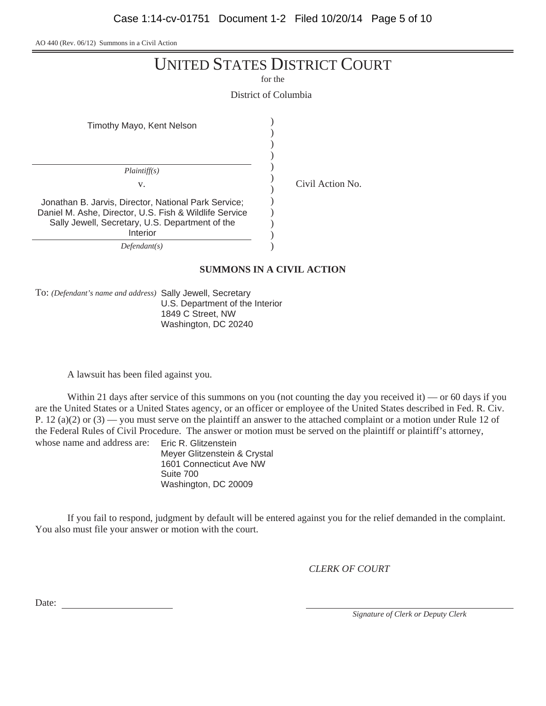AO 440 (Rev. 06/12) Summons in a Civil Action

| <b>UNITED STATES DISTRICT COURT</b> |  |
|-------------------------------------|--|
|-------------------------------------|--|

for the

District of Columbia

| Timothy Mayo, Kent Nelson                                                                                                                                                     |                  |
|-------------------------------------------------------------------------------------------------------------------------------------------------------------------------------|------------------|
| Plaintiff(s)<br>v.                                                                                                                                                            | Civil Action No. |
| Jonathan B. Jarvis, Director, National Park Service;<br>Daniel M. Ashe, Director, U.S. Fish & Wildlife Service<br>Sally Jewell, Secretary, U.S. Department of the<br>Interior |                  |
| Defendant(s)                                                                                                                                                                  |                  |

*Defendant(s)*

### **SUMMONS IN A CIVIL ACTION**

To: *(Defendant's name and address)* Sally Jewell, Secretary U.S. Department of the Interior 1849 C Street, NW Washington, DC 20240

A lawsuit has been filed against you.

Within 21 days after service of this summons on you (not counting the day you received it) — or 60 days if you are the United States or a United States agency, or an officer or employee of the United States described in Fed. R. Civ. P. 12 (a)(2) or  $(3)$  — you must serve on the plaintiff an answer to the attached complaint or a motion under Rule 12 of the Federal Rules of Civil Procedure. The answer or motion must be served on the plaintiff or plaintiff's attorney, whose name and address are: Eric R. Glitzenstein

Meyer Glitzenstein & Crystal 1601 Connecticut Ave NW Suite 700 Washington, DC 20009

If you fail to respond, judgment by default will be entered against you for the relief demanded in the complaint. You also must file your answer or motion with the court.

*CLERK OF COURT*

Date:

*Signature of Clerk or Deputy Clerk*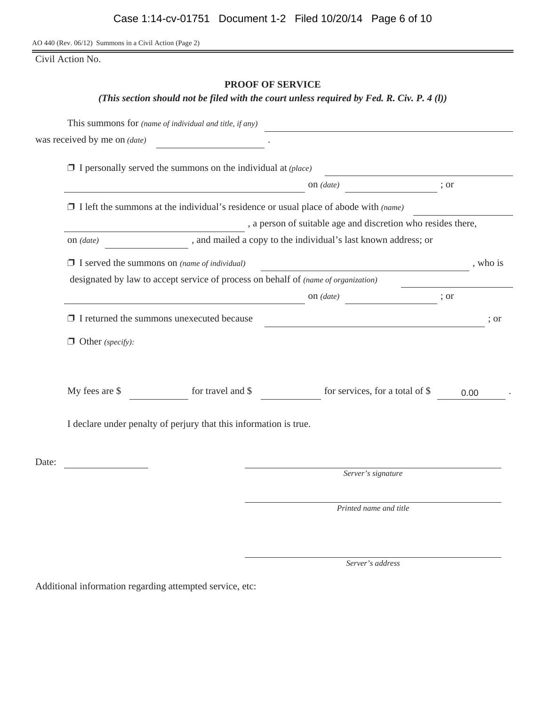AO 440 (Rev. 06/12) Summons in a Civil Action (Page 2)

Civil Action No.

## **PROOF OF SERVICE**

*(This section should not be filed with the court unless required by Fed. R. Civ. P. 4 (l))*

|       |                                                     | This summons for (name of individual and title, if any)                                     |                                                                                                                      |      |          |
|-------|-----------------------------------------------------|---------------------------------------------------------------------------------------------|----------------------------------------------------------------------------------------------------------------------|------|----------|
|       | was received by me on <i>(date)</i>                 | <u> 1989 - Jan Barat, prima po</u>                                                          |                                                                                                                      |      |          |
|       |                                                     | $\Box$ I personally served the summons on the individual at (place)                         |                                                                                                                      |      |          |
|       |                                                     |                                                                                             | on $(data)$                                                                                                          | ; or |          |
|       |                                                     | $\Box$ I left the summons at the individual's residence or usual place of abode with (name) |                                                                                                                      |      |          |
|       |                                                     |                                                                                             | , a person of suitable age and discretion who resides there,                                                         |      |          |
|       | on $(data)$                                         |                                                                                             | , and mailed a copy to the individual's last known address; or                                                       |      |          |
|       | $\Box$ I served the summons on (name of individual) |                                                                                             | <u> 1980 - Johann Barn, amerikan besteman besteman besteman besteman besteman besteman besteman besteman bestema</u> |      | , who is |
|       |                                                     | designated by law to accept service of process on behalf of <i>(name of organization)</i>   |                                                                                                                      |      |          |
|       |                                                     |                                                                                             | on $(data)$                                                                                                          | ; or |          |
|       | $\Box$ I returned the summons unexecuted because    |                                                                                             |                                                                                                                      |      | : or     |
|       | $\Box$ Other (specify):                             |                                                                                             |                                                                                                                      |      |          |
|       | My fees are \$                                      | for travel and $\$                                                                          | for services, for a total of \$                                                                                      | 0.00 |          |
|       |                                                     | I declare under penalty of perjury that this information is true.                           |                                                                                                                      |      |          |
| Date: |                                                     |                                                                                             |                                                                                                                      |      |          |
|       |                                                     |                                                                                             | Server's signature                                                                                                   |      |          |
|       |                                                     |                                                                                             | Printed name and title                                                                                               |      |          |
|       |                                                     |                                                                                             |                                                                                                                      |      |          |

*Server's address*

Additional information regarding attempted service, etc: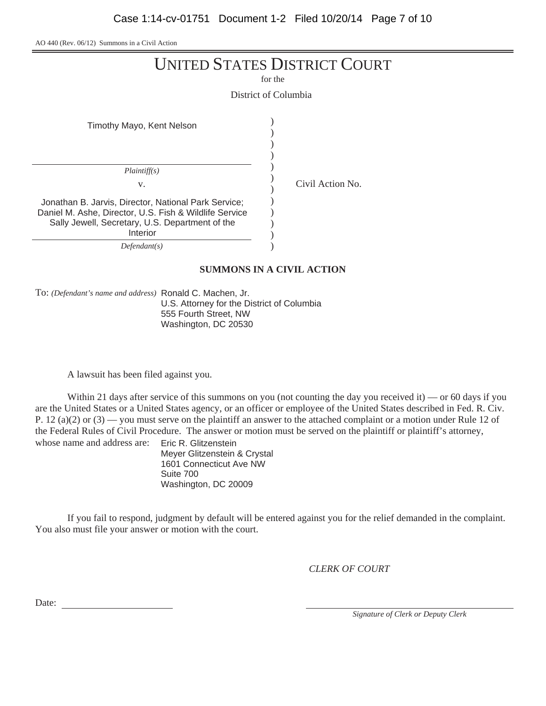AO 440 (Rev. 06/12) Summons in a Civil Action

for the

District of Columbia

| Timothy Mayo, Kent Nelson                                                                                                                                                     |  |
|-------------------------------------------------------------------------------------------------------------------------------------------------------------------------------|--|
| Plaintiff(s)<br>V.                                                                                                                                                            |  |
| Jonathan B. Jarvis, Director, National Park Service;<br>Daniel M. Ashe, Director, U.S. Fish & Wildlife Service<br>Sally Jewell, Secretary, U.S. Department of the<br>Interior |  |
| Defendant(s)                                                                                                                                                                  |  |

*Defendant(s)*

### **SUMMONS IN A CIVIL ACTION**

Civil Action No.

To: *(Defendant's name and address)* Ronald C. Machen, Jr. U.S. Attorney for the District of Columbia 555 Fourth Street, NW Washington, DC 20530

A lawsuit has been filed against you.

Within 21 days after service of this summons on you (not counting the day you received it) — or 60 days if you are the United States or a United States agency, or an officer or employee of the United States described in Fed. R. Civ. P. 12 (a)(2) or  $(3)$  — you must serve on the plaintiff an answer to the attached complaint or a motion under Rule 12 of the Federal Rules of Civil Procedure. The answer or motion must be served on the plaintiff or plaintiff's attorney, whose name and address are: Eric R. Glitzenstein

Meyer Glitzenstein & Crystal 1601 Connecticut Ave NW Suite 700 Washington, DC 20009

If you fail to respond, judgment by default will be entered against you for the relief demanded in the complaint. You also must file your answer or motion with the court.

*CLERK OF COURT*

Date:

*Signature of Clerk or Deputy Clerk*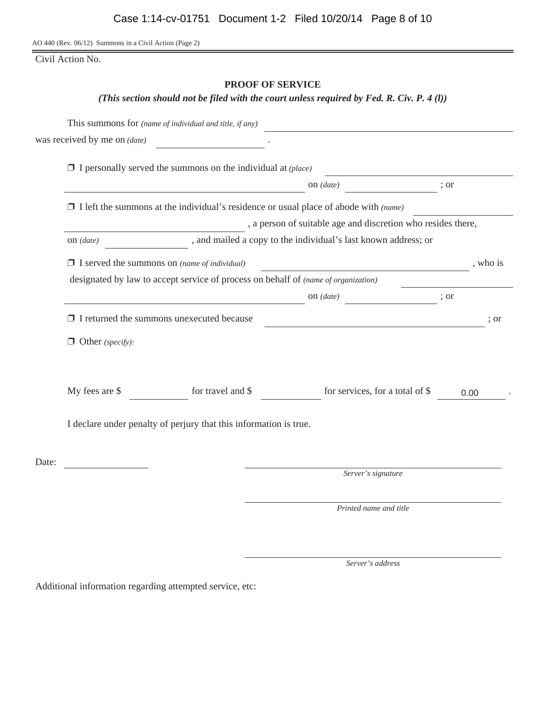AO 440 (Rev. 06/12) Summons in a Civil Action (Page 2)

Civil Action No.

## **PROOF OF SERVICE**

*(This section should not be filed with the court unless required by Fed. R. Civ. P. 4 (l))*

|       |                                                                               | This summons for (name of individual and title, if any)                            |                                                                                             |      |          |  |
|-------|-------------------------------------------------------------------------------|------------------------------------------------------------------------------------|---------------------------------------------------------------------------------------------|------|----------|--|
|       | was received by me on <i>(date)</i>                                           |                                                                                    |                                                                                             |      |          |  |
|       |                                                                               | $\Box$ I personally served the summons on the individual at (place)                |                                                                                             |      |          |  |
|       |                                                                               |                                                                                    | on $(data)$                                                                                 | ; or |          |  |
|       |                                                                               |                                                                                    | $\Box$ I left the summons at the individual's residence or usual place of abode with (name) |      |          |  |
|       |                                                                               | , a person of suitable age and discretion who resides there,                       |                                                                                             |      |          |  |
|       | , and mailed a copy to the individual's last known address; or<br>on $(data)$ |                                                                                    |                                                                                             |      |          |  |
|       | $\Box$ I served the summons on (name of individual)                           |                                                                                    |                                                                                             |      | , who is |  |
|       |                                                                               | designated by law to accept service of process on behalf of (name of organization) |                                                                                             |      |          |  |
|       |                                                                               |                                                                                    | on $(data)$                                                                                 | ; or |          |  |
|       | $\Box$ I returned the summons unexecuted because                              |                                                                                    | <u> 1980 - Johann Barbara, martin amerikan basal da</u>                                     |      | ; or     |  |
|       | $\Box$ Other (specify):                                                       |                                                                                    |                                                                                             |      |          |  |
|       | My fees are \$                                                                | for travel and \$                                                                  | for services, for a total of \$                                                             |      | 0.00     |  |
|       |                                                                               | I declare under penalty of perjury that this information is true.                  |                                                                                             |      |          |  |
| Date: |                                                                               |                                                                                    |                                                                                             |      |          |  |
|       |                                                                               |                                                                                    | Server's signature                                                                          |      |          |  |
|       |                                                                               |                                                                                    | Printed name and title                                                                      |      |          |  |

*Server's address*

Additional information regarding attempted service, etc: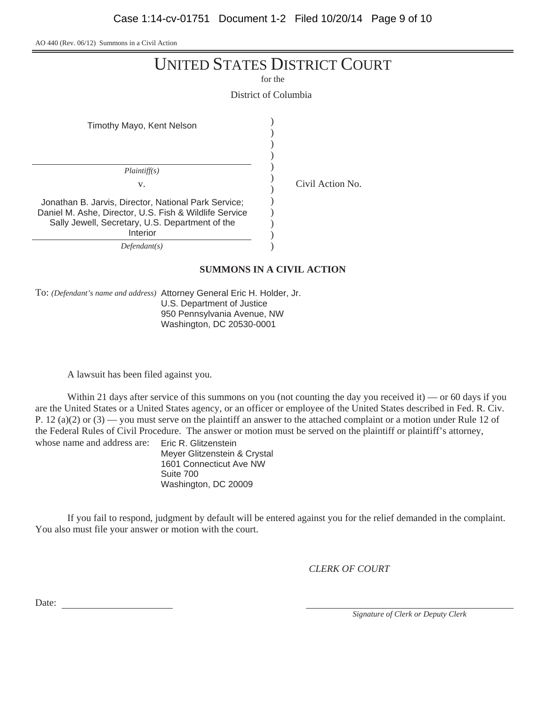AO 440 (Rev. 06/12) Summons in a Civil Action

for the

District of Columbia

| Timothy Mayo, Kent Nelson                                                                                                                                                     |  |
|-------------------------------------------------------------------------------------------------------------------------------------------------------------------------------|--|
| Plaintiff(s)<br>V.                                                                                                                                                            |  |
| Jonathan B. Jarvis, Director, National Park Service;<br>Daniel M. Ashe, Director, U.S. Fish & Wildlife Service<br>Sally Jewell, Secretary, U.S. Department of the<br>Interior |  |
| Defendant(s)                                                                                                                                                                  |  |

*Defendant(s)*

### **SUMMONS IN A CIVIL ACTION**

Civil Action No.

To: *(Defendant's name and address)* Attorney General Eric H. Holder, Jr. U.S. Department of Justice 950 Pennsylvania Avenue, NW Washington, DC 20530-0001

A lawsuit has been filed against you.

Within 21 days after service of this summons on you (not counting the day you received it) — or 60 days if you are the United States or a United States agency, or an officer or employee of the United States described in Fed. R. Civ. P. 12 (a)(2) or  $(3)$  — you must serve on the plaintiff an answer to the attached complaint or a motion under Rule 12 of the Federal Rules of Civil Procedure. The answer or motion must be served on the plaintiff or plaintiff's attorney, whose name and address are: Eric R. Glitzenstein

Meyer Glitzenstein & Crystal 1601 Connecticut Ave NW Suite 700 Washington, DC 20009

If you fail to respond, judgment by default will be entered against you for the relief demanded in the complaint. You also must file your answer or motion with the court.

*CLERK OF COURT*

Date:

*Signature of Clerk or Deputy Clerk*